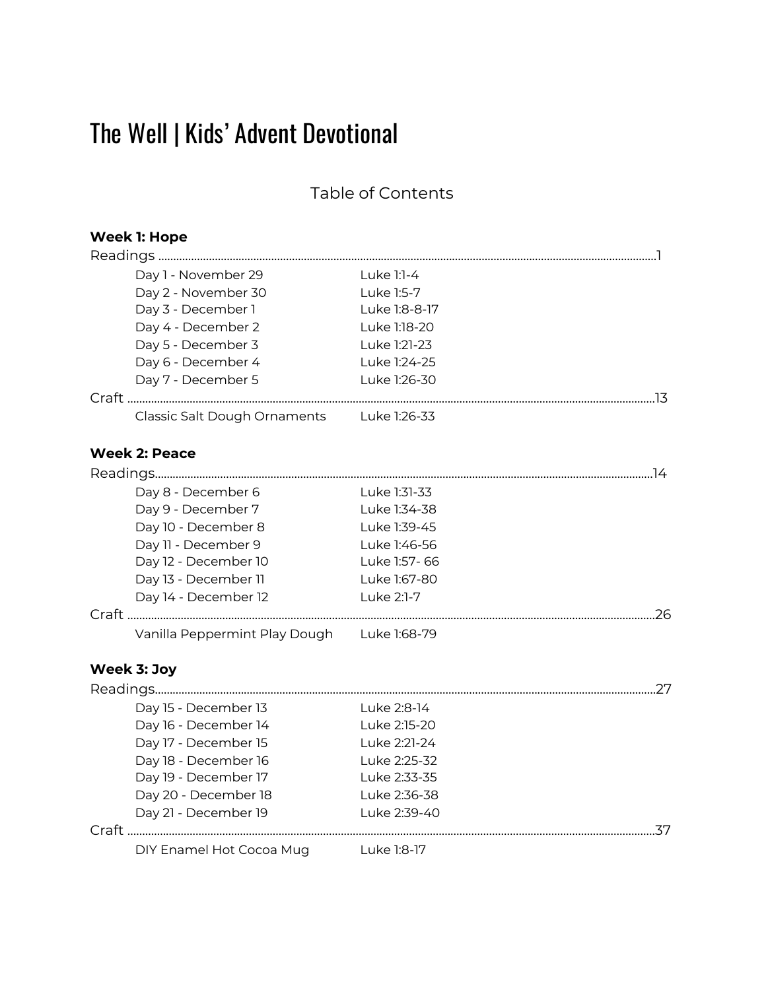# The Well | Kids' Advent Devotional

Table of Contents

| <b>Week 1: Hope</b>                        |               |     |
|--------------------------------------------|---------------|-----|
|                                            |               |     |
| Day 1 - November 29                        | Luke 1:1-4    |     |
| Day 2 - November 30                        | Luke 1:5-7    |     |
| Day 3 - December 1                         | Luke 1:8-8-17 |     |
| Day 4 - December 2                         | Luke 1:18-20  |     |
| Day 5 - December 3                         | Luke 1:21-23  |     |
| Day 6 - December 4                         | Luke 1:24-25  |     |
| Day 7 - December 5                         | Luke 1:26-30  |     |
|                                            |               |     |
| Classic Salt Dough Ornaments               | Luke 1:26-33  |     |
| <b>Week 2: Peace</b>                       |               |     |
|                                            |               |     |
| Day 8 - December 6                         | Luke 1:31-33  |     |
| Day 9 - December 7                         | Luke 1:34-38  |     |
| Day 10 - December 8                        | Luke 1:39-45  |     |
| Day 11 - December 9                        | Luke 1:46-56  |     |
| Day 12 - December 10                       | Luke 1:57-66  |     |
| Day 13 - December 11                       | Luke 1:67-80  |     |
| Day 14 - December 12                       | Luke 2:1-7    |     |
|                                            |               |     |
| Vanilla Peppermint Play Dough Luke 1:68-79 |               |     |
| Week 3: Joy                                |               |     |
|                                            |               |     |
| Day 15 - December 13                       | Luke 2:8-14   |     |
| Day 16 - December 14                       | Luke 2:15-20  |     |
| Day 17 - December 15                       | Luke 2:21-24  |     |
| Day 18 - December 16                       | Luke 2:25-32  |     |
| Day 19 - December 17                       | Luke 2:33-35  |     |
| Day 20 - December 18                       | Luke 2:36-38  |     |
| Day 21 - December 19                       | Luke 2:39-40  |     |
|                                            |               | .37 |
| DIY Enamel Hot Cocoa Mug                   | Luke 1:8-17   |     |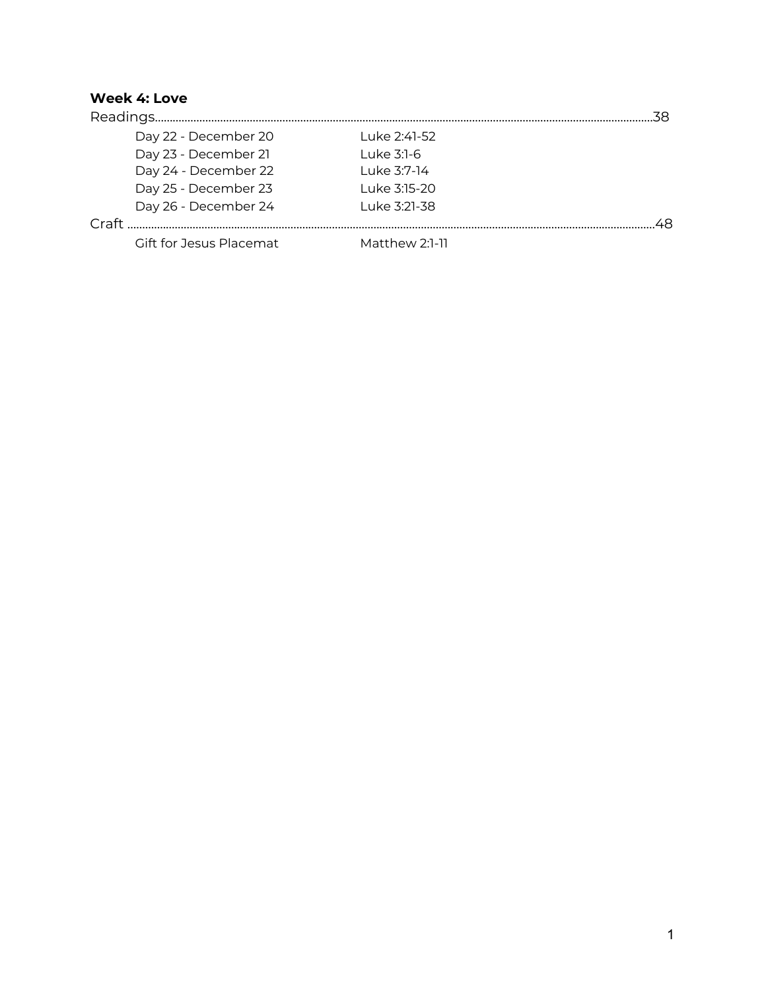#### **Week 4: Love**

| Day 22 - December 20    | Luke 2:41-52   |  |
|-------------------------|----------------|--|
| Day 23 - December 21    | Luke 3:1-6     |  |
| Day 24 - December 22    | Luke 3:7-14    |  |
| Day 25 - December 23    | Luke 3:15-20   |  |
| Day 26 - December 24    | Luke 3:21-38   |  |
|                         |                |  |
| Gift for Jesus Placemat | Matthew 2:1-11 |  |
|                         |                |  |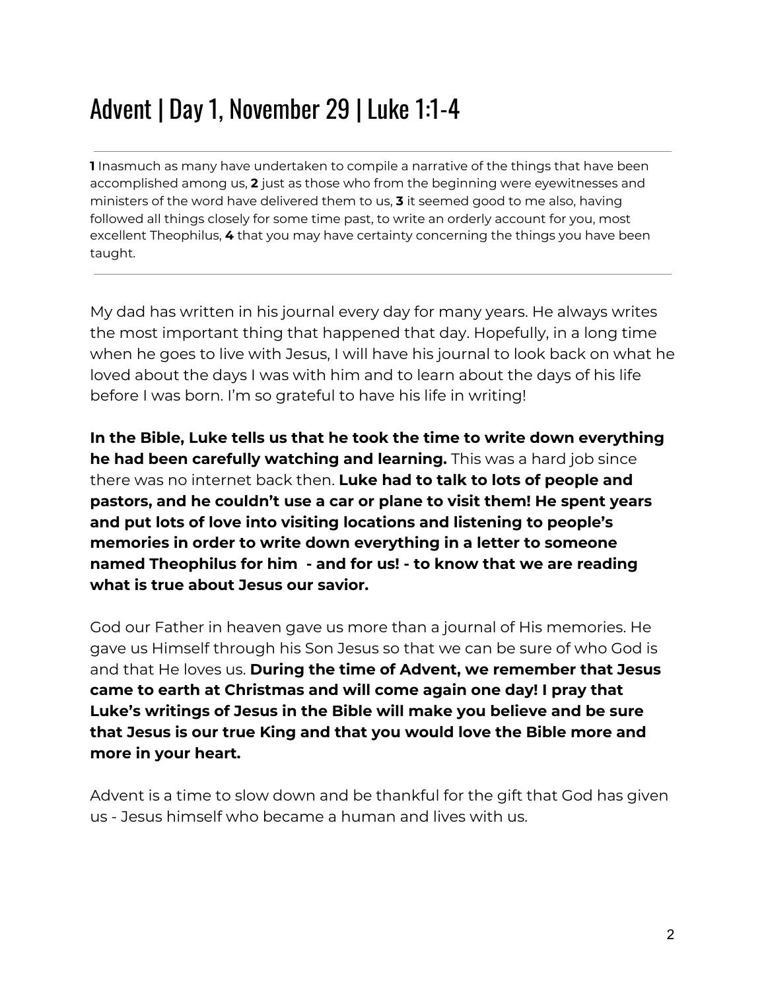### Advent | Day 1, November 29 | Luke 1:1-4

**1** Inasmuch as many have undertaken to compile a narrative of the things that have been accomplished among us, **2** just as those who from the beginning were eyewitnesses and ministers of the word have delivered them to us, **3** it seemed good to me also, having followed all things closely for some time past, to write an orderly account for you, most excellent Theophilus, **4** that you may have certainty concerning the things you have been taught.

My dad has written in his journal every day for many years. He always writes the most important thing that happened that day. Hopefully, in a long time when he goes to live with Jesus, I will have his journal to look back on what he loved about the days I was with him and to learn about the days of his life before I was born. I'm so grateful to have his life in writing!

**In the Bible, Luke tells us that he took the time to write down everything he had been carefully watching and learning.** This was a hard job since there was no internet back then. **Luke had to talk to lots of people and pastors, and he couldn't use a car or plane to visit them! He spent years and put lots of love into visiting locations and listening to people's memories in order to write down everything in a letter to someone named Theophilus for him - and for us! - to know that we are reading what is true about Jesus our savior.**

God our Father in heaven gave us more than a journal of His memories. He gave us Himself through his Son Jesus so that we can be sure of who God is and that He loves us. **During the time of Advent, we remember that Jesus came to earth at Christmas and will come again one day! I pray that Luke's writings of Jesus in the Bible will make you believe and be sure that Jesus is our true King and that you would love the Bible more and more in your heart.**

Advent is a time to slow down and be thankful for the gift that God has given us - Jesus himself who became a human and lives with us.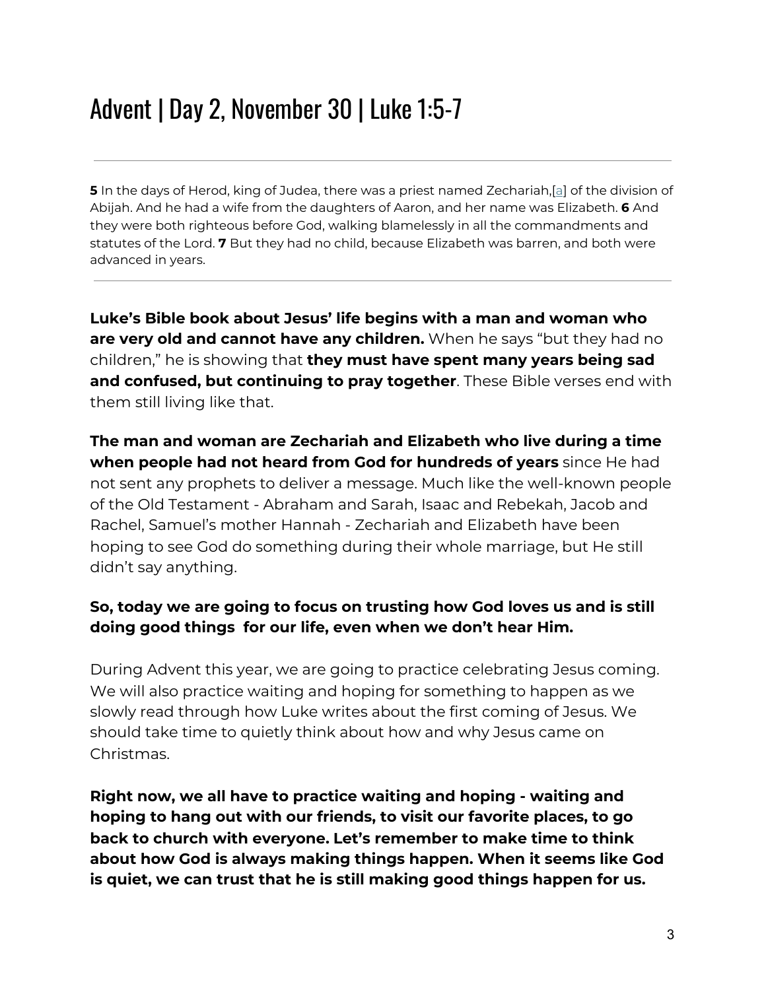### Advent | Day 2, November 30 | Luke 1:5-7

**5** In the days of Herod, king of Judea, there was a priest named Zechariah,[[a](https://www.biblegateway.com/passage/?search=luke+1-3&version=ESV#fen-ESV-24890a)] of the division of Abijah. And he had a wife from the daughters of Aaron, and her name was Elizabeth. **6** And they were both righteous before God, walking blamelessly in all the commandments and statutes of the Lord. **7** But they had no child, because Elizabeth was barren, and both were advanced in years.

**Luke's Bible book about Jesus' life begins with a man and woman who are very old and cannot have any children.** When he says "but they had no children," he is showing that **they must have spent many years being sad and confused, but continuing to pray together**. These Bible verses end with them still living like that.

**The man and woman are Zechariah and Elizabeth who live during a time when people had not heard from God for hundreds of years** since He had not sent any prophets to deliver a message. Much like the well-known people of the Old Testament - Abraham and Sarah, Isaac and Rebekah, Jacob and Rachel, Samuel's mother Hannah - Zechariah and Elizabeth have been hoping to see God do something during their whole marriage, but He still didn't say anything.

#### **So, today we are going to focus on trusting how God loves us and is still doing good things for our life, even when we don't hear Him.**

During Advent this year, we are going to practice celebrating Jesus coming. We will also practice waiting and hoping for something to happen as we slowly read through how Luke writes about the first coming of Jesus. We should take time to quietly think about how and why Jesus came on Christmas.

**Right now, we all have to practice waiting and hoping - waiting and hoping to hang out with our friends, to visit our favorite places, to go back to church with everyone. Let's remember to make time to think about how God is always making things happen. When it seems like God is quiet, we can trust that he is still making good things happen for us.**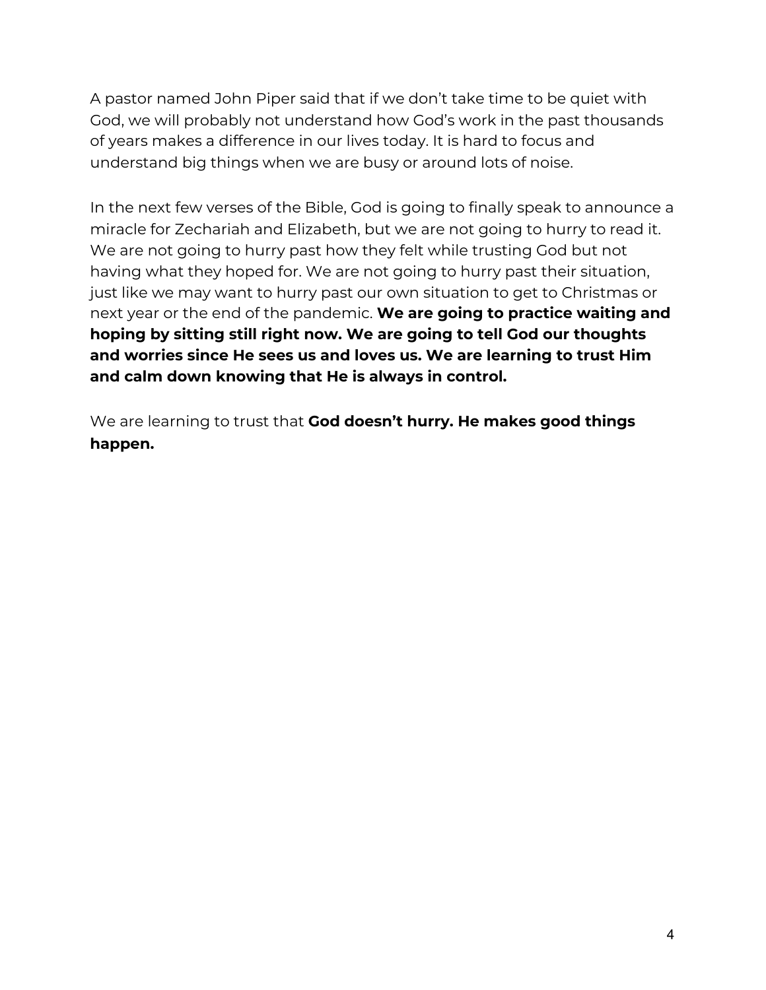A pastor named John Piper said that if we don't take time to be quiet with God, we will probably not understand how God's work in the past thousands of years makes a difference in our lives today. It is hard to focus and understand big things when we are busy or around lots of noise.

In the next few verses of the Bible, God is going to finally speak to announce a miracle for Zechariah and Elizabeth, but we are not going to hurry to read it. We are not going to hurry past how they felt while trusting God but not having what they hoped for. We are not going to hurry past their situation, just like we may want to hurry past our own situation to get to Christmas or next year or the end of the pandemic. **We are going to practice waiting and hoping by sitting still right now. We are going to tell God our thoughts and worries since He sees us and loves us. We are learning to trust Him and calm down knowing that He is always in control.**

We are learning to trust that **God doesn't hurry. He makes good things happen.**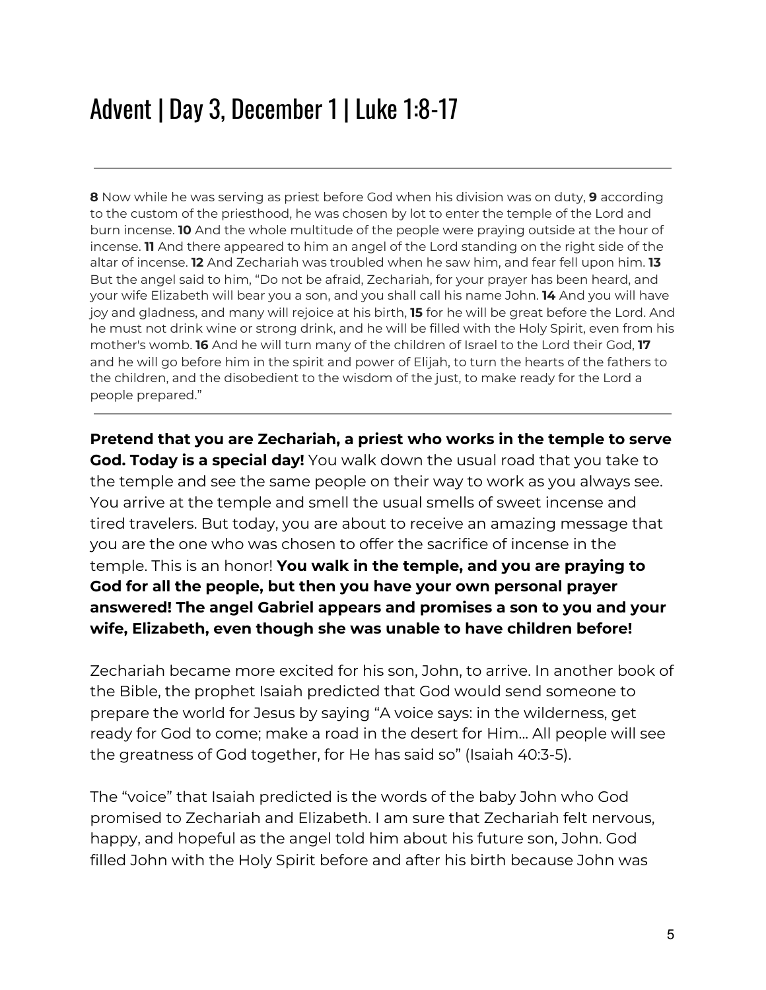**8** Now while he was serving as priest before God when his division was on duty, **9** according to the custom of the priesthood, he was chosen by lot to enter the temple of the Lord and burn incense. **10** And the whole multitude of the people were praying outside at the hour of incense. **11** And there appeared to him an angel of the Lord standing on the right side of the altar of incense. **12** And Zechariah was troubled when he saw him, and fear fell upon him. **13** But the angel said to him, "Do not be afraid, Zechariah, for your prayer has been heard, and your wife Elizabeth will bear you a son, and you shall call his name John. **14** And you will have joy and gladness, and many will rejoice at his birth, **15** for he will be great before the Lord. And he must not drink wine or strong drink, and he will be filled with the Holy Spirit, even from his mother's womb. **16** And he will turn many of the children of Israel to the Lord their God, **17** and he will go before him in the spirit and power of Elijah, to turn the hearts of the fathers to the children, and the disobedient to the wisdom of the just, to make ready for the Lord a people prepared."

**Pretend that you are Zechariah, a priest who works in the temple to serve God. Today is a special day!** You walk down the usual road that you take to the temple and see the same people on their way to work as you always see. You arrive at the temple and smell the usual smells of sweet incense and tired travelers. But today, you are about to receive an amazing message that you are the one who was chosen to offer the sacrifice of incense in the temple. This is an honor! **You walk in the temple, and you are praying to God for all the people, but then you have your own personal prayer answered! The angel Gabriel appears and promises a son to you and your wife, Elizabeth, even though she was unable to have children before!**

Zechariah became more excited for his son, John, to arrive. In another book of the Bible, the prophet Isaiah predicted that God would send someone to prepare the world for Jesus by saying "A voice says: in the wilderness, get ready for God to come; make a road in the desert for Him... All people will see the greatness of God together, for He has said so" (Isaiah 40:3-5).

The "voice" that Isaiah predicted is the words of the baby John who God promised to Zechariah and Elizabeth. I am sure that Zechariah felt nervous, happy, and hopeful as the angel told him about his future son, John. God filled John with the Holy Spirit before and after his birth because John was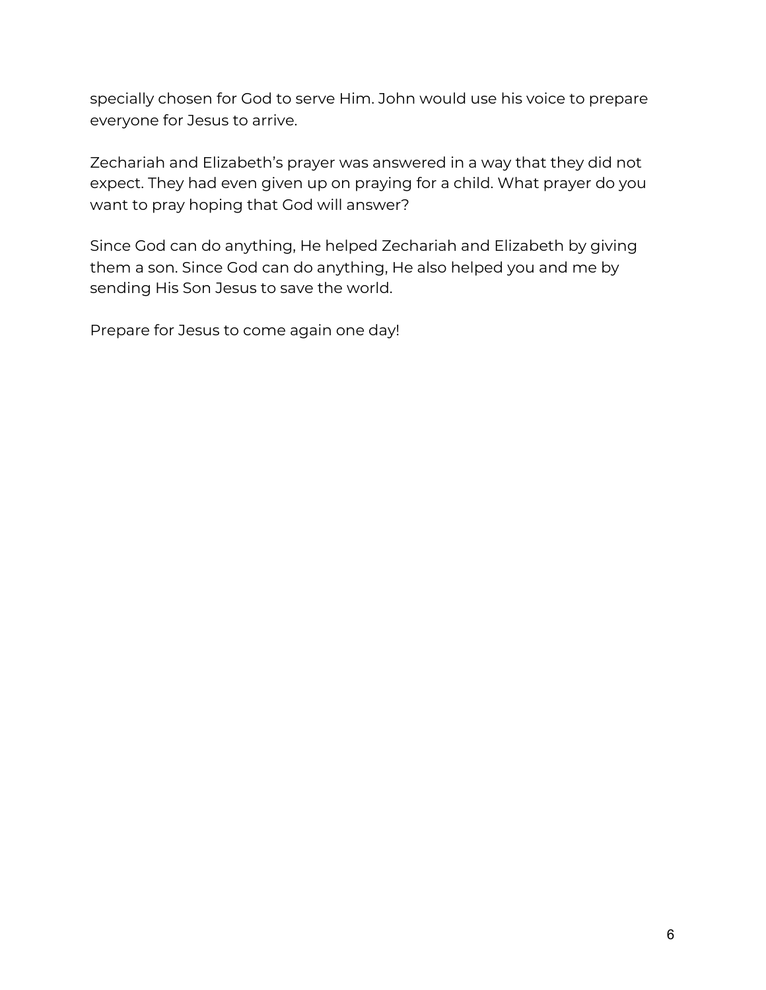specially chosen for God to serve Him. John would use his voice to prepare everyone for Jesus to arrive.

Zechariah and Elizabeth's prayer was answered in a way that they did not expect. They had even given up on praying for a child. What prayer do you want to pray hoping that God will answer?

Since God can do anything, He helped Zechariah and Elizabeth by giving them a son. Since God can do anything, He also helped you and me by sending His Son Jesus to save the world.

Prepare for Jesus to come again one day!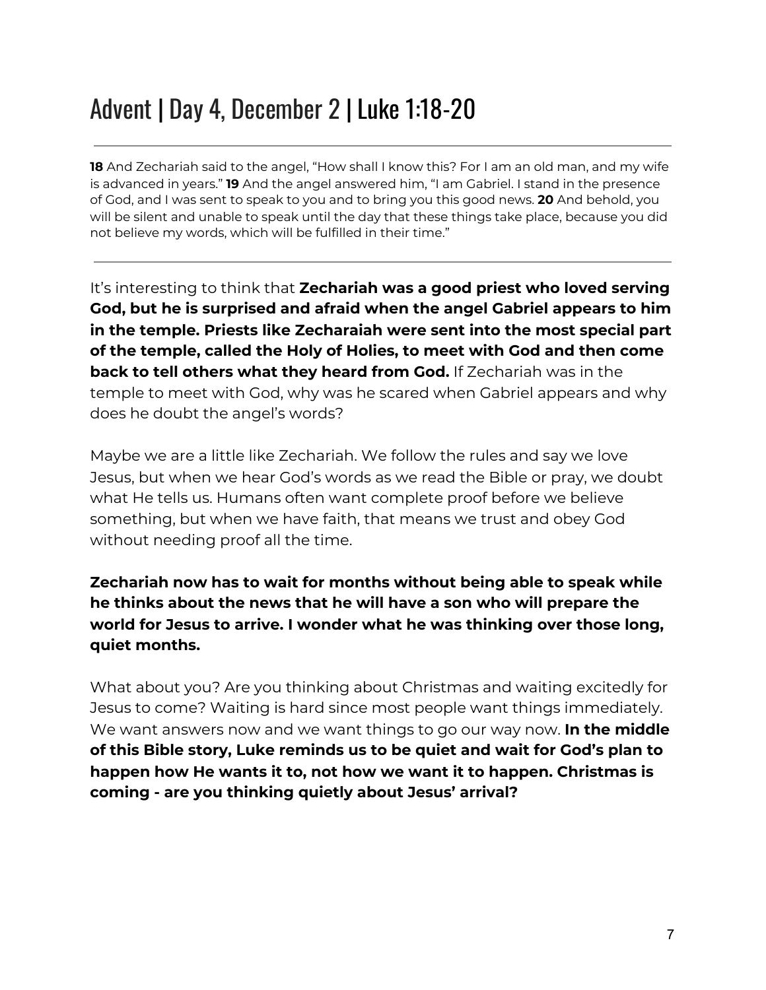### Advent | Day 4, December 2 | Luke 1:18-20

**18** And Zechariah said to the angel, "How shall I know this? For I am an old man, and my wife is advanced in years." **19** And the angel answered him, "I am Gabriel. I stand in the presence of God, and I was sent to speak to you and to bring you this good news. **20** And behold, you will be silent and unable to speak until the day that these things take place, because you did not believe my words, which will be fulfilled in their time."

It's interesting to think that **Zechariah was a good priest who loved serving God, but he is surprised and afraid when the angel Gabriel appears to him in the temple. Priests like Zecharaiah were sent into the most special part of the temple, called the Holy of Holies, to meet with God and then come back to tell others what they heard from God.** If Zechariah was in the temple to meet with God, why was he scared when Gabriel appears and why does he doubt the angel's words?

Maybe we are a little like Zechariah. We follow the rules and say we love Jesus, but when we hear God's words as we read the Bible or pray, we doubt what He tells us. Humans often want complete proof before we believe something, but when we have faith, that means we trust and obey God without needing proof all the time.

**Zechariah now has to wait for months without being able to speak while he thinks about the news that he will have a son who will prepare the world for Jesus to arrive. I wonder what he was thinking over those long, quiet months.**

What about you? Are you thinking about Christmas and waiting excitedly for Jesus to come? Waiting is hard since most people want things immediately. We want answers now and we want things to go our way now. **In the middle of this Bible story, Luke reminds us to be quiet and wait for God's plan to happen how He wants it to, not how we want it to happen. Christmas is coming - are you thinking quietly about Jesus' arrival?**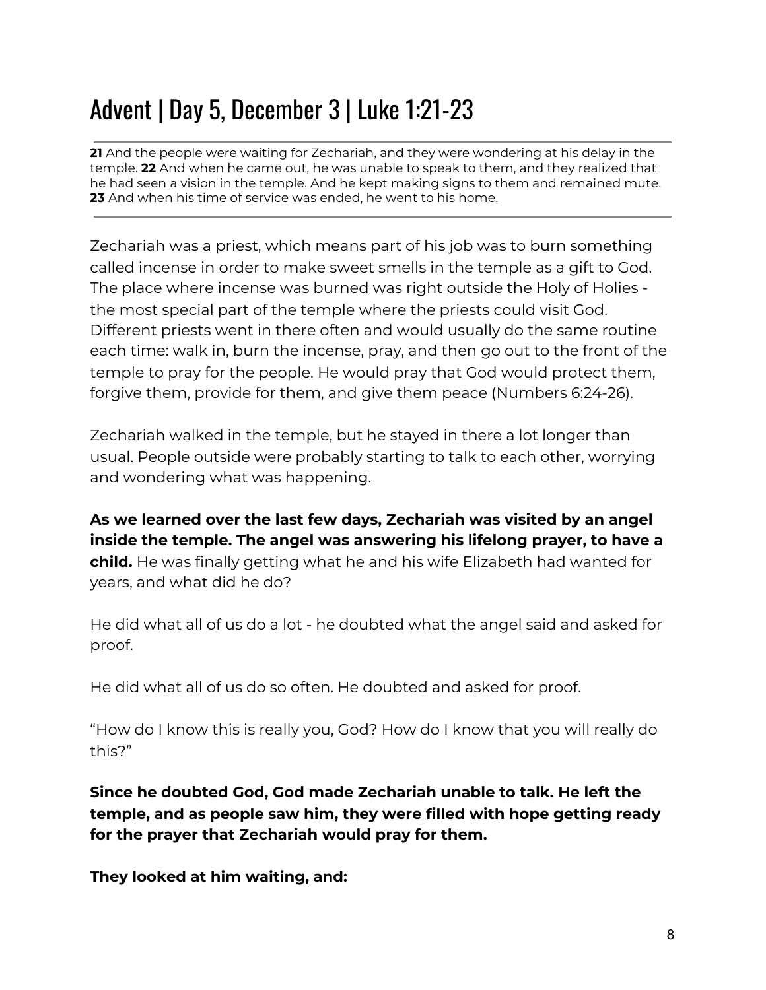## Advent | Day 5, December 3 | Luke 1:21-23

**21** And the people were waiting for Zechariah, and they were wondering at his delay in the temple. **22** And when he came out, he was unable to speak to them, and they realized that he had seen a vision in the temple. And he kept making signs to them and remained mute. **23** And when his time of service was ended, he went to his home.

Zechariah was a priest, which means part of his job was to burn something called incense in order to make sweet smells in the temple as a gift to God. The place where incense was burned was right outside the Holy of Holies the most special part of the temple where the priests could visit God. Different priests went in there often and would usually do the same routine each time: walk in, burn the incense, pray, and then go out to the front of the temple to pray for the people. He would pray that God would protect them, forgive them, provide for them, and give them peace (Numbers 6:24-26).

Zechariah walked in the temple, but he stayed in there a lot longer than usual. People outside were probably starting to talk to each other, worrying and wondering what was happening.

**As we learned over the last few days, Zechariah was visited by an angel inside the temple. The angel was answering his lifelong prayer, to have a child.** He was finally getting what he and his wife Elizabeth had wanted for years, and what did he do?

He did what all of us do a lot - he doubted what the angel said and asked for proof.

He did what all of us do so often. He doubted and asked for proof.

"How do I know this is really you, God? How do I know that you will really do this?"

**Since he doubted God, God made Zechariah unable to talk. He left the temple, and as people saw him, they were filled with hope getting ready for the prayer that Zechariah would pray for them.**

**They looked at him waiting, and:**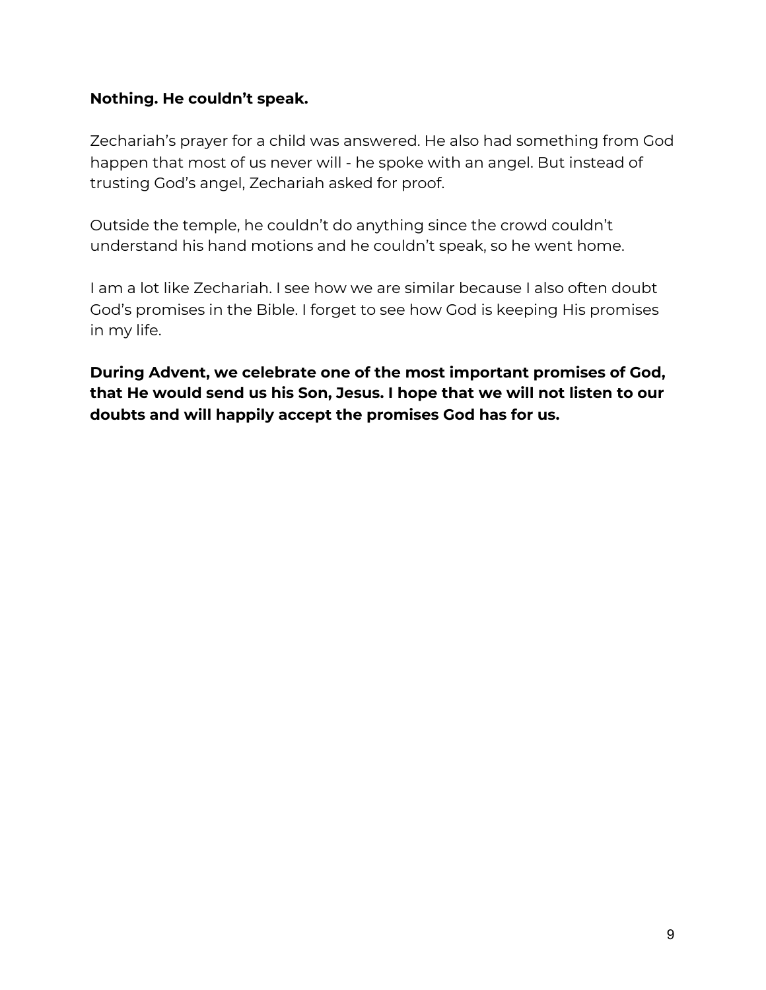#### **Nothing. He couldn't speak.**

Zechariah's prayer for a child was answered. He also had something from God happen that most of us never will - he spoke with an angel. But instead of trusting God's angel, Zechariah asked for proof.

Outside the temple, he couldn't do anything since the crowd couldn't understand his hand motions and he couldn't speak, so he went home.

I am a lot like Zechariah. I see how we are similar because I also often doubt God's promises in the Bible. I forget to see how God is keeping His promises in my life.

**During Advent, we celebrate one of the most important promises of God, that He would send us his Son, Jesus. I hope that we will not listen to our doubts and will happily accept the promises God has for us.**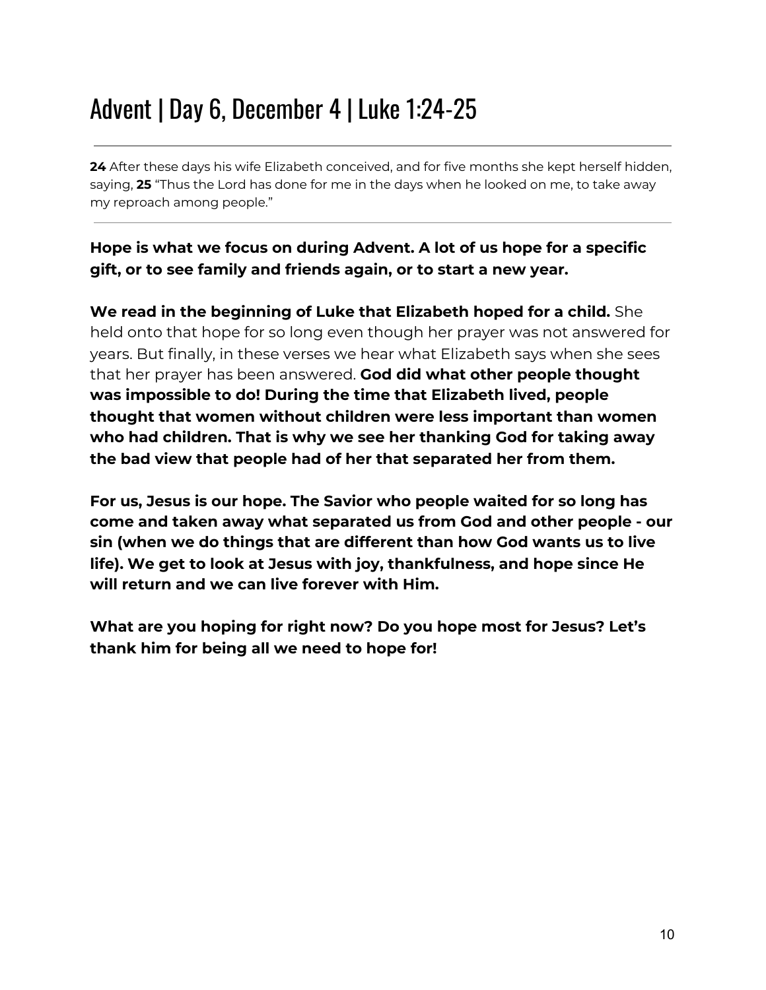### Advent | Day 6, December 4 | Luke 1:24-25

**24** After these days his wife Elizabeth conceived, and for five months she kept herself hidden, saying, **25** "Thus the Lord has done for me in the days when he looked on me, to take away my reproach among people."

#### **Hope is what we focus on during Advent. A lot of us hope for a specific gift, or to see family and friends again, or to start a new year.**

**We read in the beginning of Luke that Elizabeth hoped for a child.** She held onto that hope for so long even though her prayer was not answered for years. But finally, in these verses we hear what Elizabeth says when she sees that her prayer has been answered. **God did what other people thought was impossible to do! During the time that Elizabeth lived, people thought that women without children were less important than women who had children. That is why we see her thanking God for taking away the bad view that people had of her that separated her from them.**

**For us, Jesus is our hope. The Savior who people waited for so long has come and taken away what separated us from God and other people - our sin (when we do things that are different than how God wants us to live life). We get to look at Jesus with joy, thankfulness, and hope since He will return and we can live forever with Him.**

**What are you hoping for right now? Do you hope most for Jesus? Let's thank him for being all we need to hope for!**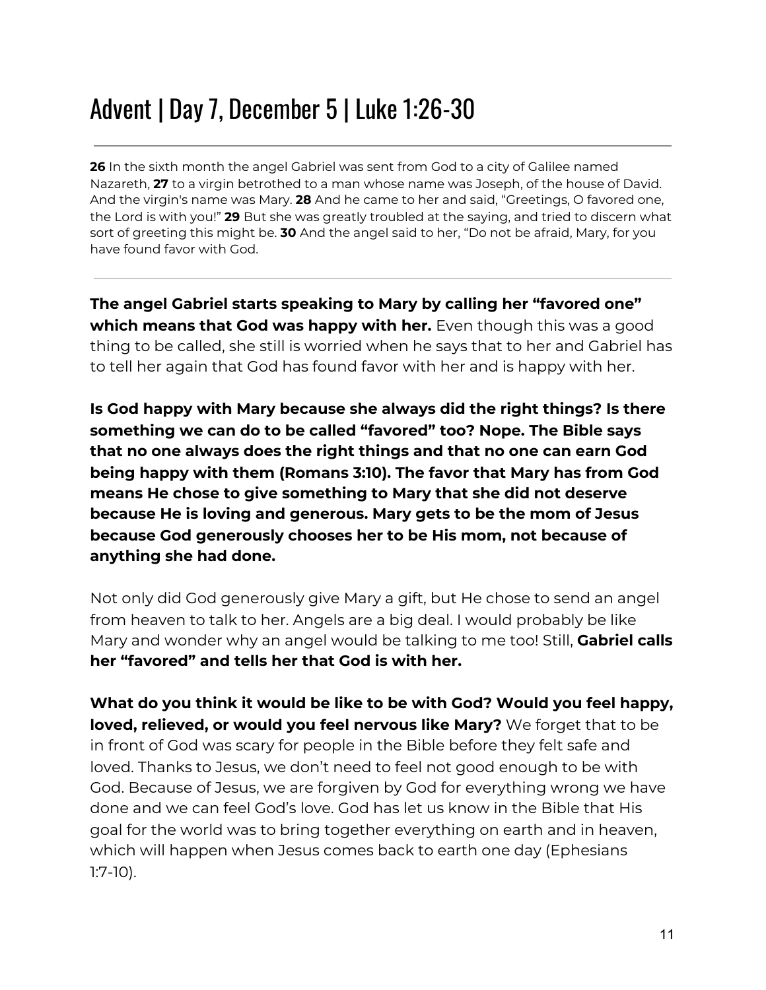### Advent | Day 7, December 5 | Luke 1:26-30

**26** In the sixth month the angel Gabriel was sent from God to a city of Galilee named Nazareth, **27** to a virgin betrothed to a man whose name was Joseph, of the house of David. And the virgin's name was Mary. **28** And he came to her and said, "Greetings, O favored one, the Lord is with you!" **29** But she was greatly troubled at the saying, and tried to discern what sort of greeting this might be. **30** And the angel said to her, "Do not be afraid, Mary, for you have found favor with God.

**The angel Gabriel starts speaking to Mary by calling her "favored one" which means that God was happy with her.** Even though this was a good thing to be called, she still is worried when he says that to her and Gabriel has to tell her again that God has found favor with her and is happy with her.

**Is God happy with Mary because she always did the right things? Is there something we can do to be called "favored" too? Nope. The Bible says that no one always does the right things and that no one can earn God being happy with them (Romans 3:10). The favor that Mary has from God means He chose to give something to Mary that she did not deserve because He is loving and generous. Mary gets to be the mom of Jesus because God generously chooses her to be His mom, not because of anything she had done.**

Not only did God generously give Mary a gift, but He chose to send an angel from heaven to talk to her. Angels are a big deal. I would probably be like Mary and wonder why an angel would be talking to me too! Still, **Gabriel calls her "favored" and tells her that God is with her.**

**What do you think it would be like to be with God? Would you feel happy, loved, relieved, or would you feel nervous like Mary?** We forget that to be in front of God was scary for people in the Bible before they felt safe and loved. Thanks to Jesus, we don't need to feel not good enough to be with God. Because of Jesus, we are forgiven by God for everything wrong we have done and we can feel God's love. God has let us know in the Bible that His goal for the world was to bring together everything on earth and in heaven, which will happen when Jesus comes back to earth one day (Ephesians 1:7-10).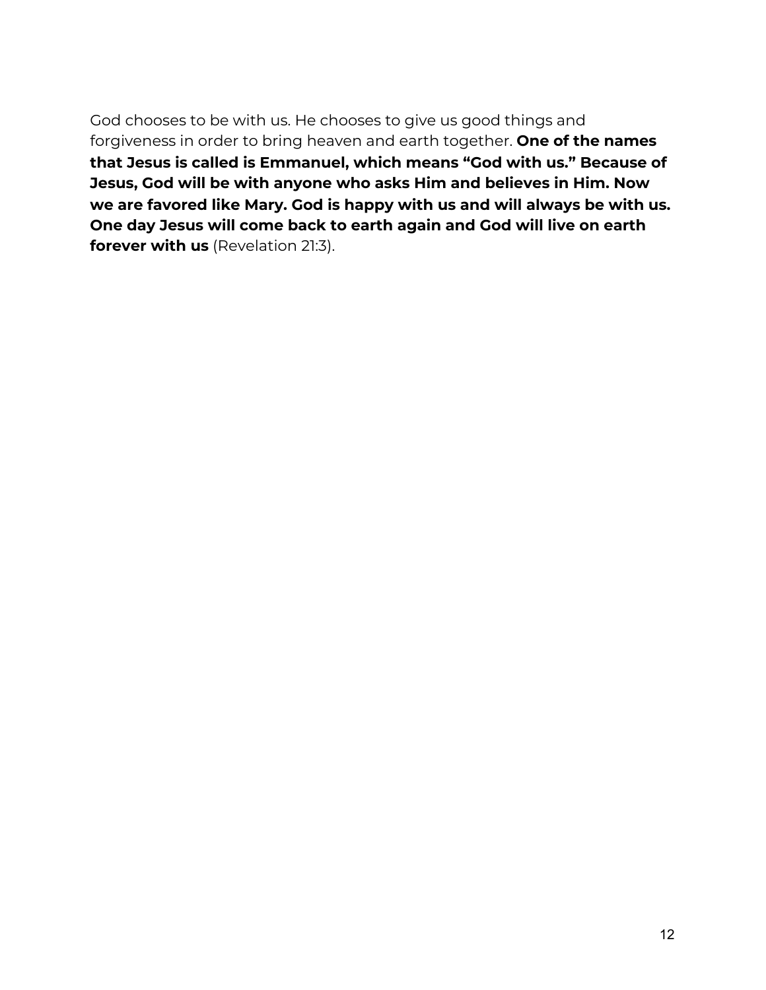God chooses to be with us. He chooses to give us good things and forgiveness in order to bring heaven and earth together. **One of the names that Jesus is called is Emmanuel, which means "God with us." Because of Jesus, God will be with anyone who asks Him and believes in Him. Now we are favored like Mary. God is happy with us and will always be with us. One day Jesus will come back to earth again and God will live on earth forever with us** (Revelation 21:3).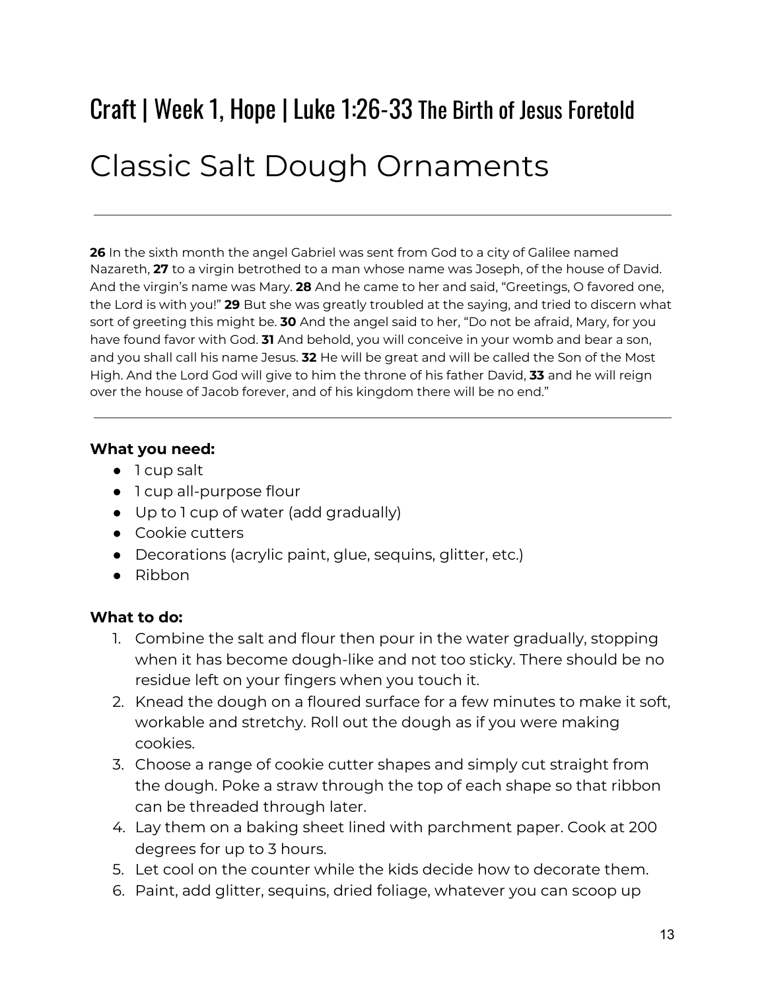# Craft | Week 1, Hope | Luke 1:26-33 The Birth of Jesus Foretold Classic Salt Dough Ornaments

**26** In the sixth month the angel Gabriel was sent from God to a city of Galilee named Nazareth, **27** to a virgin betrothed to a man whose name was Joseph, of the house of David. And the virgin's name was Mary. **28** And he came to her and said, "Greetings, O favored one, the Lord is with you!" **29** But she was greatly troubled at the saying, and tried to discern what sort of greeting this might be. **30** And the angel said to her, "Do not be afraid, Mary, for you have found favor with God. **31** And behold, you will conceive in your womb and bear a son, and you shall call his name Jesus. **32** He will be great and will be called the Son of the Most High. And the Lord God will give to him the throne of his father David, **33** and he will reign over the house of Jacob forever, and of his kingdom there will be no end."

#### **What you need:**

- 1 cup salt
- 1 cup all-purpose flour
- Up to 1 cup of water (add gradually)
- Cookie cutters
- Decorations (acrylic paint, glue, sequins, glitter, etc.)
- Ribbon

#### **What to do:**

- 1. Combine the salt and flour then pour in the water gradually, stopping when it has become dough-like and not too sticky. There should be no residue left on your fingers when you touch it.
- 2. Knead the dough on a floured surface for a few minutes to make it soft, workable and stretchy. Roll out the dough as if you were making cookies.
- 3. Choose a range of cookie cutter shapes and simply cut straight from the dough. Poke a straw through the top of each shape so that ribbon can be threaded through later.
- 4. Lay them on a baking sheet lined with parchment paper. Cook at 200 degrees for up to 3 hours.
- 5. Let cool on the counter while the kids decide how to decorate them.
- 6. Paint, add glitter, sequins, dried foliage, whatever you can scoop up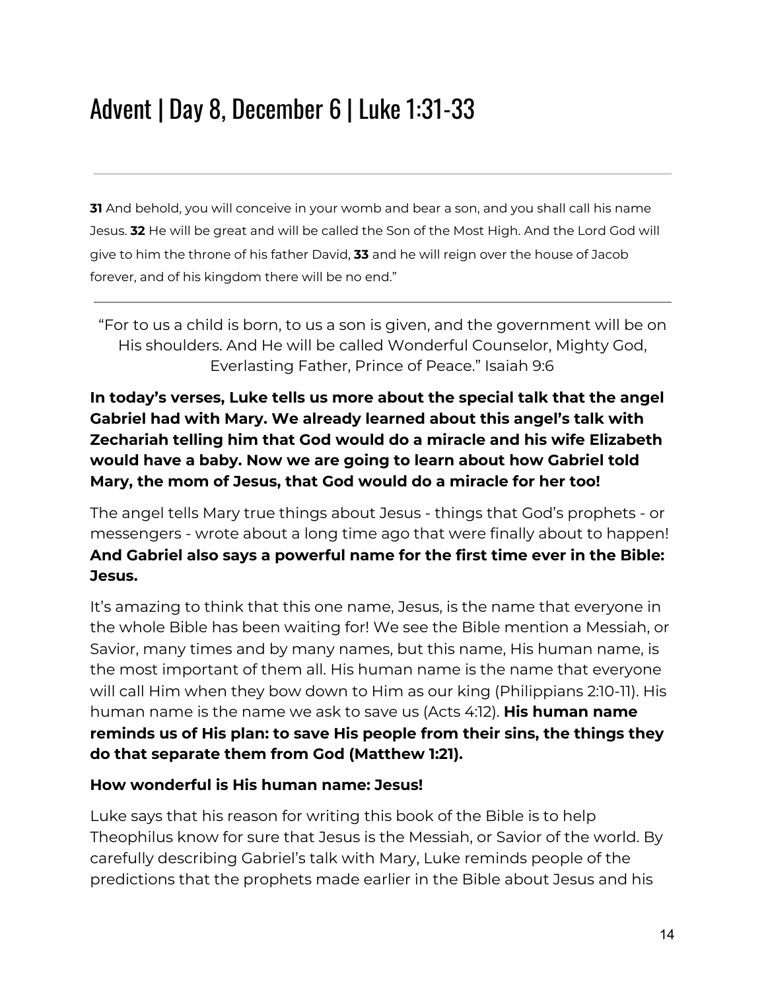### Advent | Day 8, December 6 | Luke 1:31-33

**31** And behold, you will conceive in your womb and bear a son, and you shall call his name Jesus. **32** He will be great and will be called the Son of the Most High. And the Lord God will give to him the throne of his father David, **33** and he will reign over the house of Jacob forever, and of his kingdom there will be no end."

"For to us a child is born, to us a son is given, and the government will be on His shoulders. And He will be called Wonderful Counselor, Mighty God, Everlasting Father, Prince of Peace." Isaiah 9:6

#### **In today's verses, Luke tells us more about the special talk that the angel Gabriel had with Mary. We already learned about this angel's talk with Zechariah telling him that God would do a miracle and his wife Elizabeth would have a baby. Now we are going to learn about how Gabriel told Mary, the mom of Jesus, that God would do a miracle for her too!**

The angel tells Mary true things about Jesus - things that God's prophets - or messengers - wrote about a long time ago that were finally about to happen! **And Gabriel also says a powerful name for the first time ever in the Bible: Jesus.**

It's amazing to think that this one name, Jesus, is the name that everyone in the whole Bible has been waiting for! We see the Bible mention a Messiah, or Savior, many times and by many names, but this name, His human name, is the most important of them all. His human name is the name that everyone will call Him when they bow down to Him as our king (Philippians 2:10-11). His human name is the name we ask to save us (Acts 4:12). **His human name reminds us of His plan: to save His people from their sins, the things they do that separate them from God (Matthew 1:21).**

#### **How wonderful is His human name: Jesus!**

Luke says that his reason for writing this book of the Bible is to help Theophilus know for sure that Jesus is the Messiah, or Savior of the world. By carefully describing Gabriel's talk with Mary, Luke reminds people of the predictions that the prophets made earlier in the Bible about Jesus and his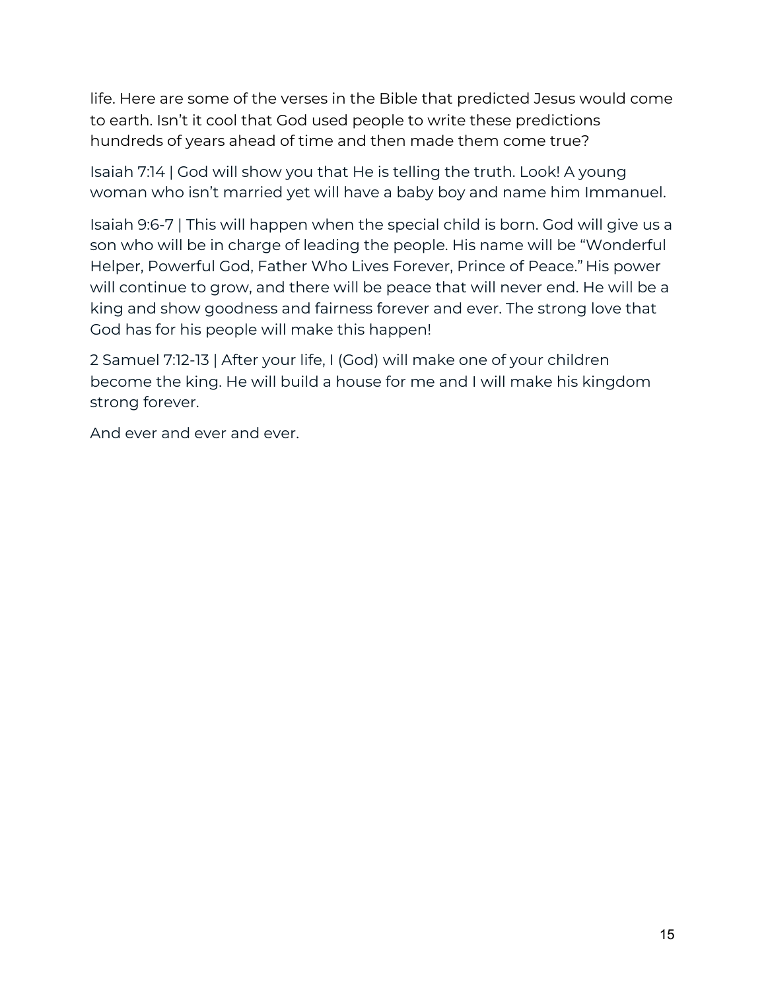life. Here are some of the verses in the Bible that predicted Jesus would come to earth. Isn't it cool that God used people to write these predictions hundreds of years ahead of time and then made them come true?

Isaiah 7:14 | God will show you that He is telling the truth. Look! A young woman who isn't married yet will have a baby boy and name him Immanuel.

Isaiah 9:6-7 | This will happen when the special child is born. God will give us a son who will be in charge of leading the people. His name will be "Wonderful Helper, Powerful God, Father Who Lives Forever, Prince of Peace." His power will continue to grow, and there will be peace that will never end. He will be a king and show goodness and fairness forever and ever. The strong love that God has for his people will make this happen!

2 Samuel 7:12-13 | After your life, I (God) will make one of your children become the king. He will build a house for me and I will make his kingdom strong forever.

And ever and ever and ever.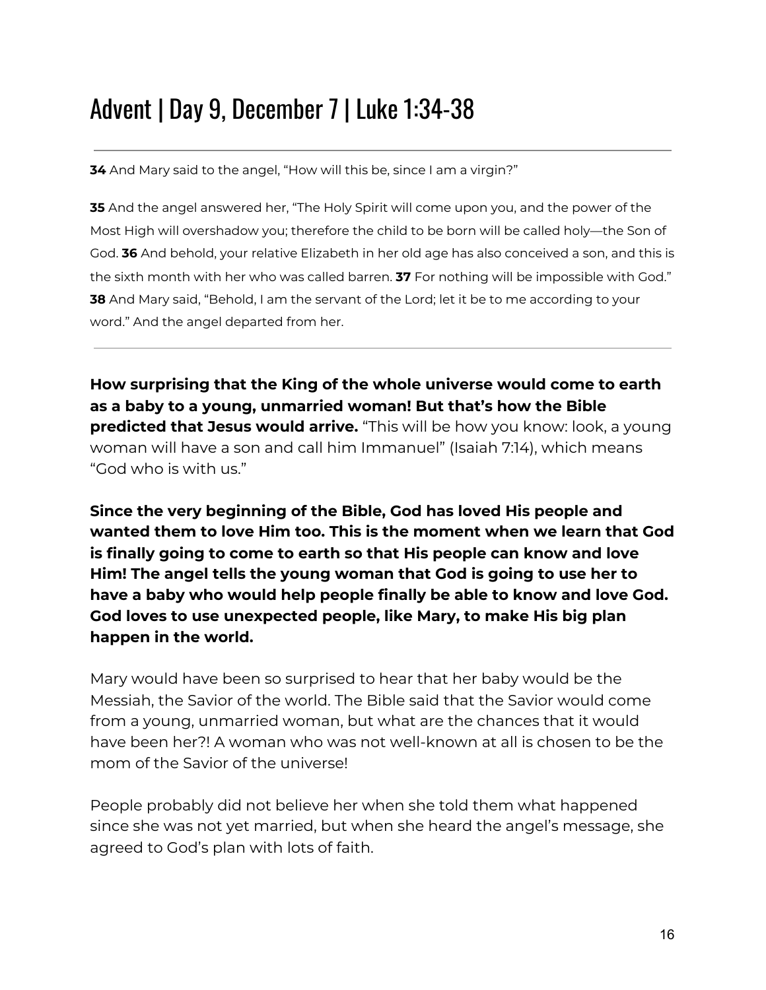#### Advent | Day 9, December 7 | Luke 1:34-38

**34** And Mary said to the angel, "How will this be, since I am a virgin?"

**35** And the angel answered her, "The Holy Spirit will come upon you, and the power of the Most High will overshadow you; therefore the child to be born will be called holy—the Son of God. **36** And behold, your relative Elizabeth in her old age has also conceived a son, and this is the sixth month with her who was called barren. **37** For nothing will be impossible with God." **38** And Mary said, "Behold, I am the servant of the Lord; let it be to me according to your word." And the angel departed from her.

**How surprising that the King of the whole universe would come to earth as a baby to a young, unmarried woman! But that's how the Bible predicted that Jesus would arrive.** "This will be how you know: look, a young woman will have a son and call him Immanuel" (Isaiah 7:14), which means "God who is with us."

**Since the very beginning of the Bible, God has loved His people and wanted them to love Him too. This is the moment when we learn that God is finally going to come to earth so that His people can know and love Him! The angel tells the young woman that God is going to use her to have a baby who would help people finally be able to know and love God. God loves to use unexpected people, like Mary, to make His big plan happen in the world.**

Mary would have been so surprised to hear that her baby would be the Messiah, the Savior of the world. The Bible said that the Savior would come from a young, unmarried woman, but what are the chances that it would have been her?! A woman who was not well-known at all is chosen to be the mom of the Savior of the universe!

People probably did not believe her when she told them what happened since she was not yet married, but when she heard the angel's message, she agreed to God's plan with lots of faith.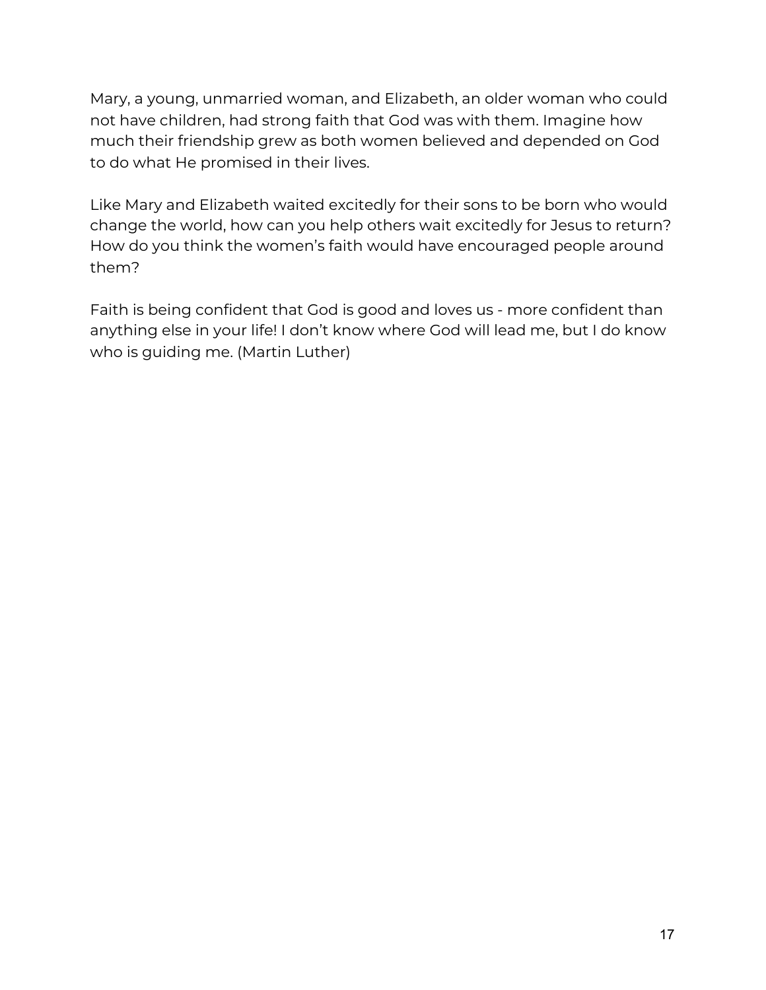Mary, a young, unmarried woman, and Elizabeth, an older woman who could not have children, had strong faith that God was with them. Imagine how much their friendship grew as both women believed and depended on God to do what He promised in their lives.

Like Mary and Elizabeth waited excitedly for their sons to be born who would change the world, how can you help others wait excitedly for Jesus to return? How do you think the women's faith would have encouraged people around them?

Faith is being confident that God is good and loves us - more confident than anything else in your life! I don't know where God will lead me, but I do know who is guiding me. (Martin Luther)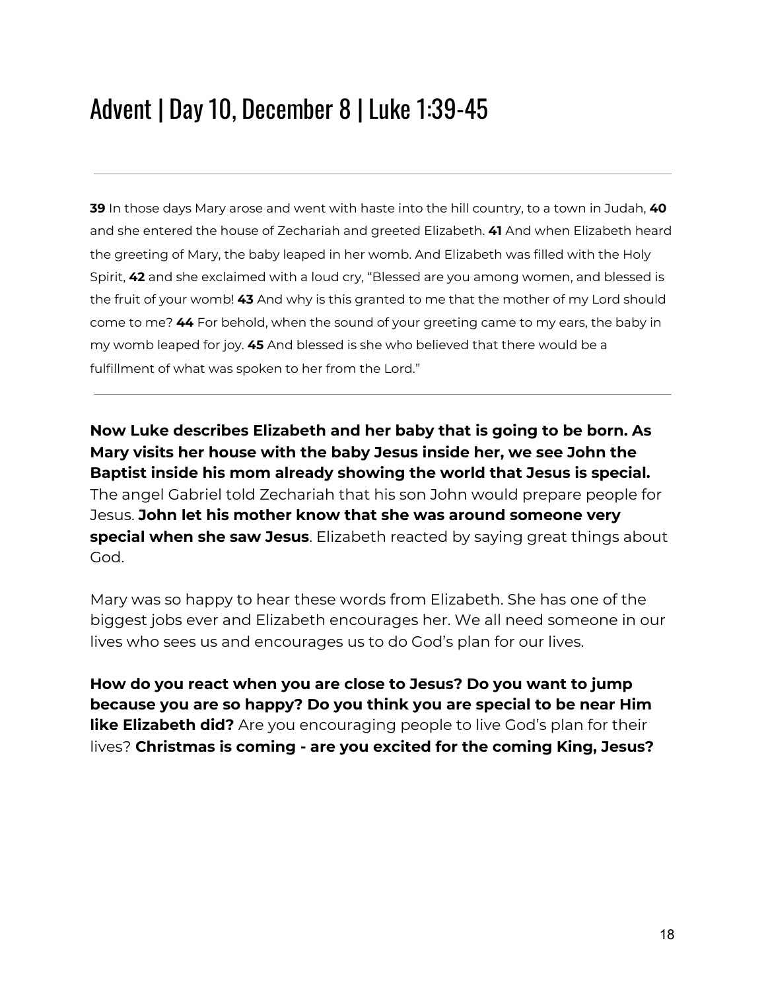### Advent | Day 10, December 8 | Luke 1:39-45

**39** In those days Mary arose and went with haste into the hill country, to a town in Judah, **40** and she entered the house of Zechariah and greeted Elizabeth. **41** And when Elizabeth heard the greeting of Mary, the baby leaped in her womb. And Elizabeth was filled with the Holy Spirit, **42** and she exclaimed with a loud cry, "Blessed are you among women, and blessed is the fruit of your womb! **43** And why is this granted to me that the mother of my Lord should come to me? **44** For behold, when the sound of your greeting came to my ears, the baby in my womb leaped for joy. **45** And blessed is she who believed that there would be a fulfillment of what was spoken to her from the Lord."

**Now Luke describes Elizabeth and her baby that is going to be born. As Mary visits her house with the baby Jesus inside her, we see John the Baptist inside his mom already showing the world that Jesus is special.** The angel Gabriel told Zechariah that his son John would prepare people for Jesus. **John let his mother know that she was around someone very special when she saw Jesus**. Elizabeth reacted by saying great things about God.

Mary was so happy to hear these words from Elizabeth. She has one of the biggest jobs ever and Elizabeth encourages her. We all need someone in our lives who sees us and encourages us to do God's plan for our lives.

**How do you react when you are close to Jesus? Do you want to jump because you are so happy? Do you think you are special to be near Him like Elizabeth did?** Are you encouraging people to live God's plan for their lives? **Christmas is coming - are you excited for the coming King, Jesus?**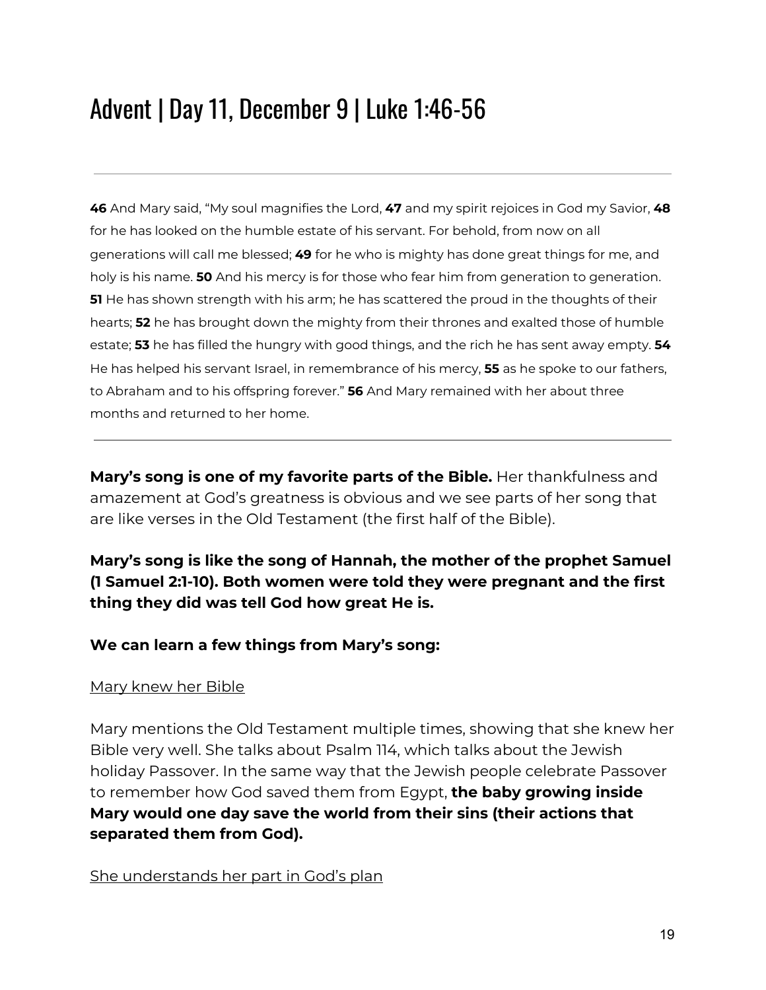### Advent | Day 11, December 9 | Luke 1:46-56

**46** And Mary said, "My soul magnifies the Lord, **47** and my spirit rejoices in God my Savior, **48** for he has looked on the humble estate of his servant. For behold, from now on all generations will call me blessed; **49** for he who is mighty has done great things for me, and holy is his name. **50** And his mercy is for those who fear him from generation to generation. **51** He has shown strength with his arm; he has scattered the proud in the thoughts of their hearts; **52** he has brought down the mighty from their thrones and exalted those of humble estate; **53** he has filled the hungry with good things, and the rich he has sent away empty. **54** He has helped his servant Israel, in remembrance of his mercy, **55** as he spoke to our fathers, to Abraham and to his offspring forever." **56** And Mary remained with her about three months and returned to her home.

**Mary's song is one of my favorite parts of the Bible.** Her thankfulness and amazement at God's greatness is obvious and we see parts of her song that are like verses in the Old Testament (the first half of the Bible).

**Mary's song is like the song of Hannah, the mother of the prophet Samuel (1 Samuel 2:1-10). Both women were told they were pregnant and the first thing they did was tell God how great He is.**

#### **We can learn a few things from Mary's song:**

#### Mary knew her Bible

Mary mentions the Old Testament multiple times, showing that she knew her Bible very well. She talks about Psalm 114, which talks about the Jewish holiday Passover. In the same way that the Jewish people celebrate Passover to remember how God saved them from Egypt, **the baby growing inside Mary would one day save the world from their sins (their actions that separated them from God).**

She understands her part in God's plan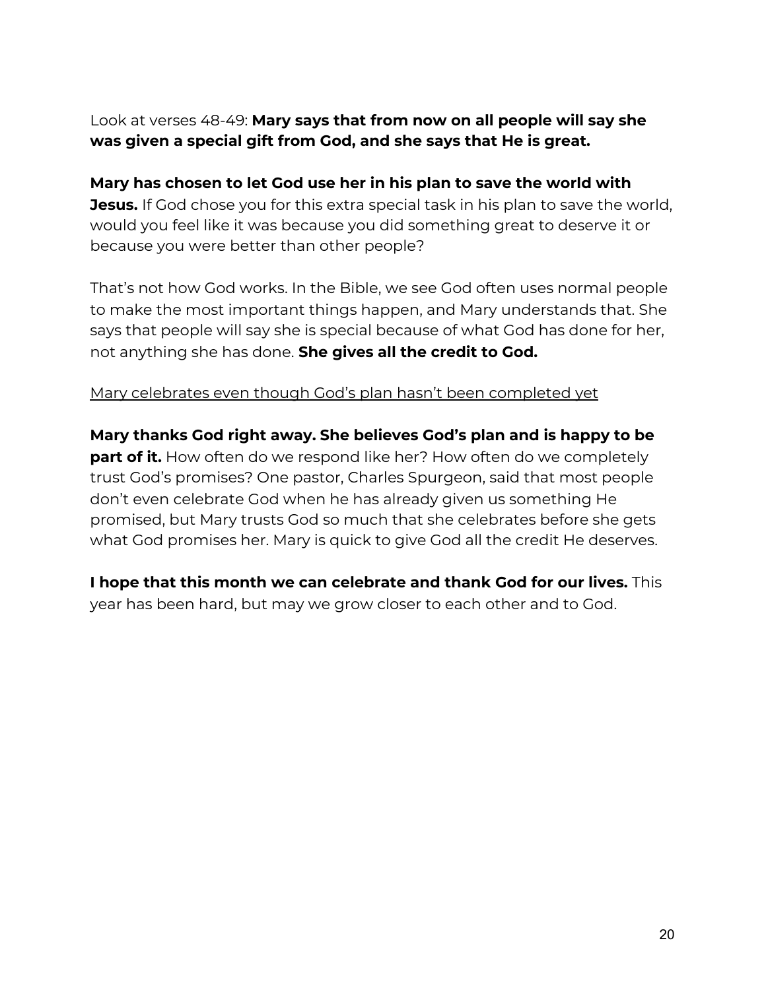Look at verses 48-49: **Mary says that from now on all people will say she was given a special gift from God, and she says that He is great.**

**Mary has chosen to let God use her in his plan to save the world with Jesus.** If God chose you for this extra special task in his plan to save the world, would you feel like it was because you did something great to deserve it or because you were better than other people?

That's not how God works. In the Bible, we see God often uses normal people to make the most important things happen, and Mary understands that. She says that people will say she is special because of what God has done for her, not anything she has done. **She gives all the credit to God.**

#### Mary celebrates even though God's plan hasn't been completed yet

**Mary thanks God right away. She believes God's plan and is happy to be part of it.** How often do we respond like her? How often do we completely trust God's promises? One pastor, Charles Spurgeon, said that most people don't even celebrate God when he has already given us something He promised, but Mary trusts God so much that she celebrates before she gets what God promises her. Mary is quick to give God all the credit He deserves.

**I hope that this month we can celebrate and thank God for our lives.** This year has been hard, but may we grow closer to each other and to God.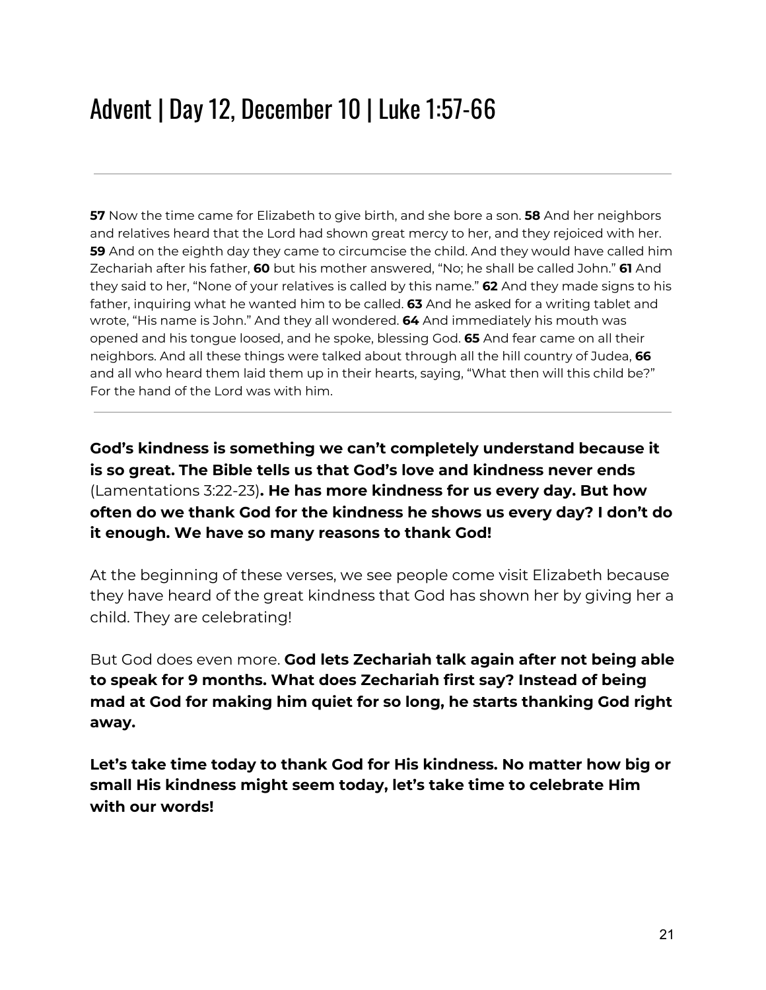### Advent | Day 12, December 10 | Luke 1:57-66

**57** Now the time came for Elizabeth to give birth, and she bore a son. **58** And her neighbors and relatives heard that the Lord had shown great mercy to her, and they rejoiced with her. **59** And on the eighth day they came to circumcise the child. And they would have called him Zechariah after his father, **60** but his mother answered, "No; he shall be called John." **61** And they said to her, "None of your relatives is called by this name." **62** And they made signs to his father, inquiring what he wanted him to be called. **63** And he asked for a writing tablet and wrote, "His name is John." And they all wondered. **64** And immediately his mouth was opened and his tongue loosed, and he spoke, blessing God. **65** And fear came on all their neighbors. And all these things were talked about through all the hill country of Judea, **66** and all who heard them laid them up in their hearts, saying, "What then will this child be?" For the hand of the Lord was with him.

**God's kindness is something we can't completely understand because it is so great. The Bible tells us that God's love and kindness never ends** (Lamentations 3:22-23)**. He has more kindness for us every day. But how often do we thank God for the kindness he shows us every day? I don't do it enough. We have so many reasons to thank God!**

At the beginning of these verses, we see people come visit Elizabeth because they have heard of the great kindness that God has shown her by giving her a child. They are celebrating!

But God does even more. **God lets Zechariah talk again after not being able to speak for 9 months. What does Zechariah first say? Instead of being mad at God for making him quiet for so long, he starts thanking God right away.**

**Let's take time today to thank God for His kindness. No matter how big or small His kindness might seem today, let's take time to celebrate Him with our words!**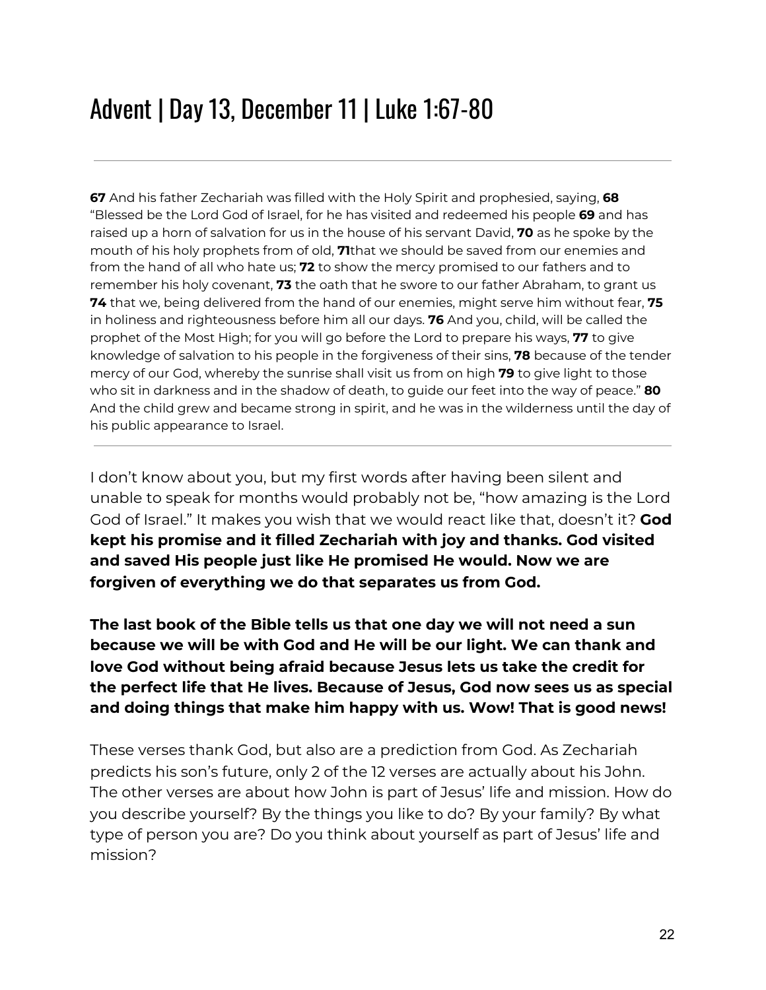### Advent | Day 13, December 11 | Luke 1:67-80

**67** And his father Zechariah was filled with the Holy Spirit and prophesied, saying, **68** "Blessed be the Lord God of Israel, for he has visited and redeemed his people **69** and has raised up a horn of salvation for us in the house of his servant David, **70** as he spoke by the mouth of his holy prophets from of old, **71**that we should be saved from our enemies and from the hand of all who hate us; **72** to show the mercy promised to our fathers and to remember his holy covenant, **73** the oath that he swore to our father Abraham, to grant us **74** that we, being delivered from the hand of our enemies, might serve him without fear, **75** in holiness and righteousness before him all our days. **76** And you, child, will be called the prophet of the Most High; for you will go before the Lord to prepare his ways, **77** to give knowledge of salvation to his people in the forgiveness of their sins, **78** because of the tender mercy of our God, whereby the sunrise shall visit us from on high **79** to give light to those who sit in darkness and in the shadow of death, to guide our feet into the way of peace." **80** And the child grew and became strong in spirit, and he was in the wilderness until the day of his public appearance to Israel.

I don't know about you, but my first words after having been silent and unable to speak for months would probably not be, "how amazing is the Lord God of Israel." It makes you wish that we would react like that, doesn't it? **God kept his promise and it filled Zechariah with joy and thanks. God visited and saved His people just like He promised He would. Now we are forgiven of everything we do that separates us from God.**

**The last book of the Bible tells us that one day we will not need a sun because we will be with God and He will be our light. We can thank and love God without being afraid because Jesus lets us take the credit for the perfect life that He lives. Because of Jesus, God now sees us as special and doing things that make him happy with us. Wow! That is good news!**

These verses thank God, but also are a prediction from God. As Zechariah predicts his son's future, only 2 of the 12 verses are actually about his John. The other verses are about how John is part of Jesus' life and mission. How do you describe yourself? By the things you like to do? By your family? By what type of person you are? Do you think about yourself as part of Jesus' life and mission?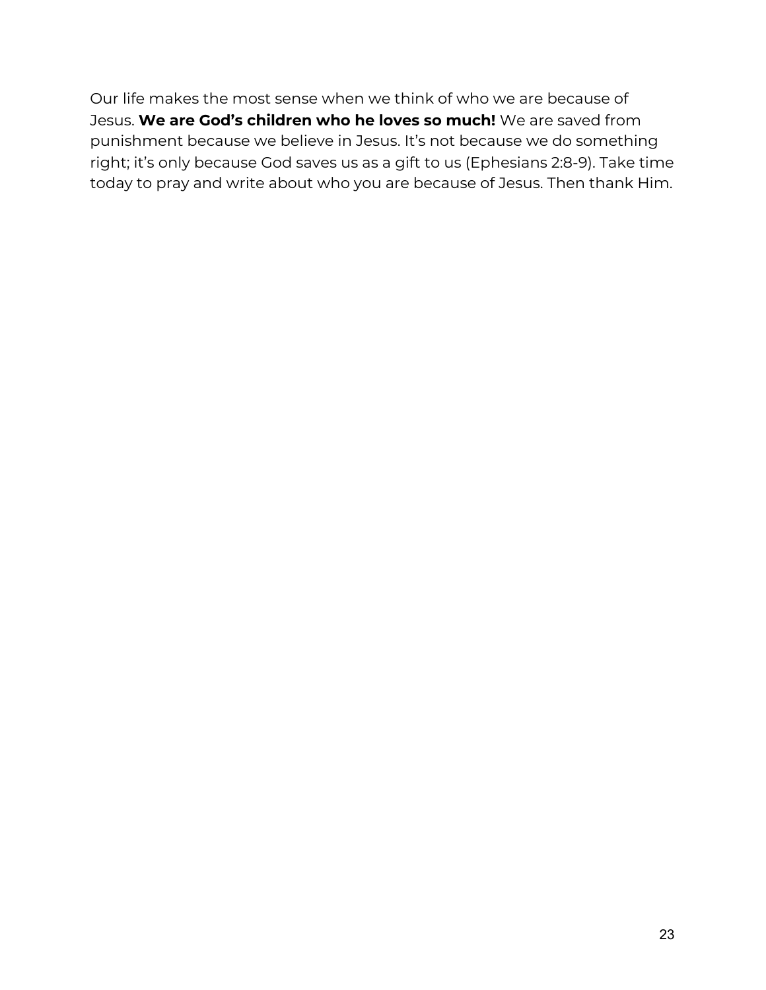Our life makes the most sense when we think of who we are because of Jesus. **We are God's children who he loves so much!** We are saved from punishment because we believe in Jesus. It's not because we do something right; it's only because God saves us as a gift to us (Ephesians 2:8-9). Take time today to pray and write about who you are because of Jesus. Then thank Him.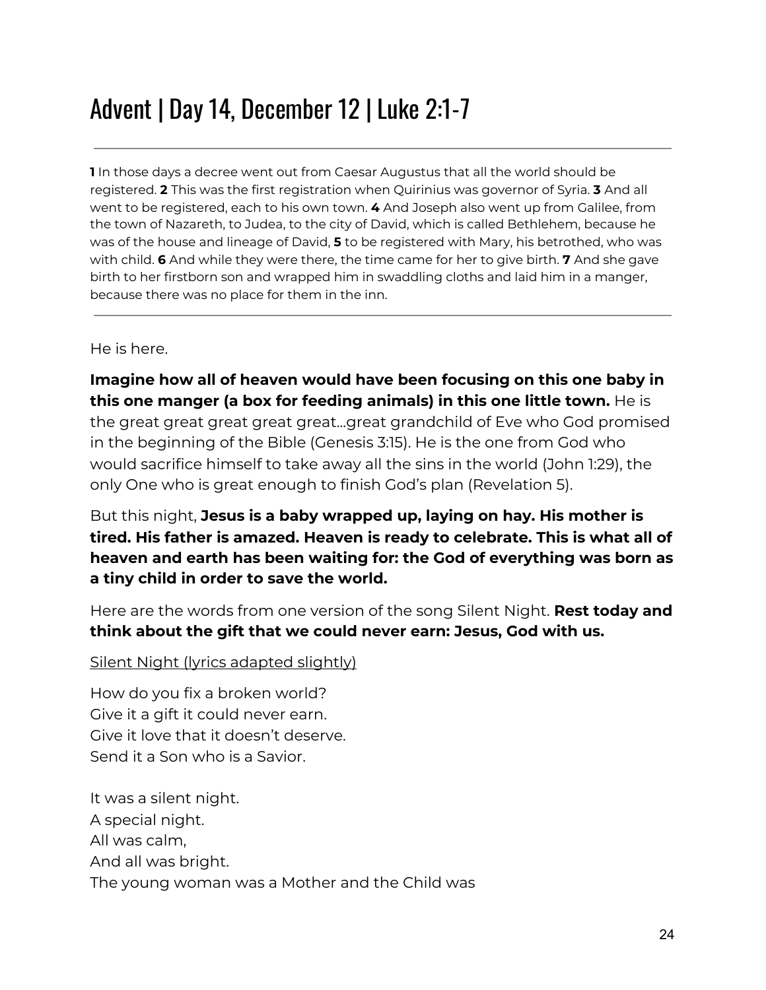### Advent | Day 14, December 12 | Luke 2:1-7

**1** In those days a decree went out from Caesar Augustus that all the world should be registered. **2** This was the first registration when Quirinius was governor of Syria. **3** And all went to be registered, each to his own town. **4** And Joseph also went up from Galilee, from the town of Nazareth, to Judea, to the city of David, which is called Bethlehem, because he was of the house and lineage of David, **5** to be registered with Mary, his betrothed, who was with child. **6** And while they were there, the time came for her to give birth. **7** And she gave birth to her firstborn son and wrapped him in swaddling cloths and laid him in a manger, because there was no place for them in the inn.

He is here.

#### **Imagine how all of heaven would have been focusing on this one baby in this one manger (a box for feeding animals) in this one little town.** He is the great great great great great...great grandchild of Eve who God promised in the beginning of the Bible (Genesis 3:15). He is the one from God who would sacrifice himself to take away all the sins in the world (John 1:29), the only One who is great enough to finish God's plan (Revelation 5).

But this night, **Jesus is a baby wrapped up, laying on hay. His mother is tired. His father is amazed. Heaven is ready to celebrate. This is what all of heaven and earth has been waiting for: the God of everything was born as a tiny child in order to save the world.**

Here are the words from one version of the song Silent Night. **Rest today and think about the gift that we could never earn: Jesus, God with us.**

#### Silent Night (lyrics adapted slightly)

How do you fix a broken world? Give it a gift it could never earn. Give it love that it doesn't deserve. Send it a Son who is a Savior.

It was a silent night. A special night. All was calm, And all was bright. The young woman was a Mother and the Child was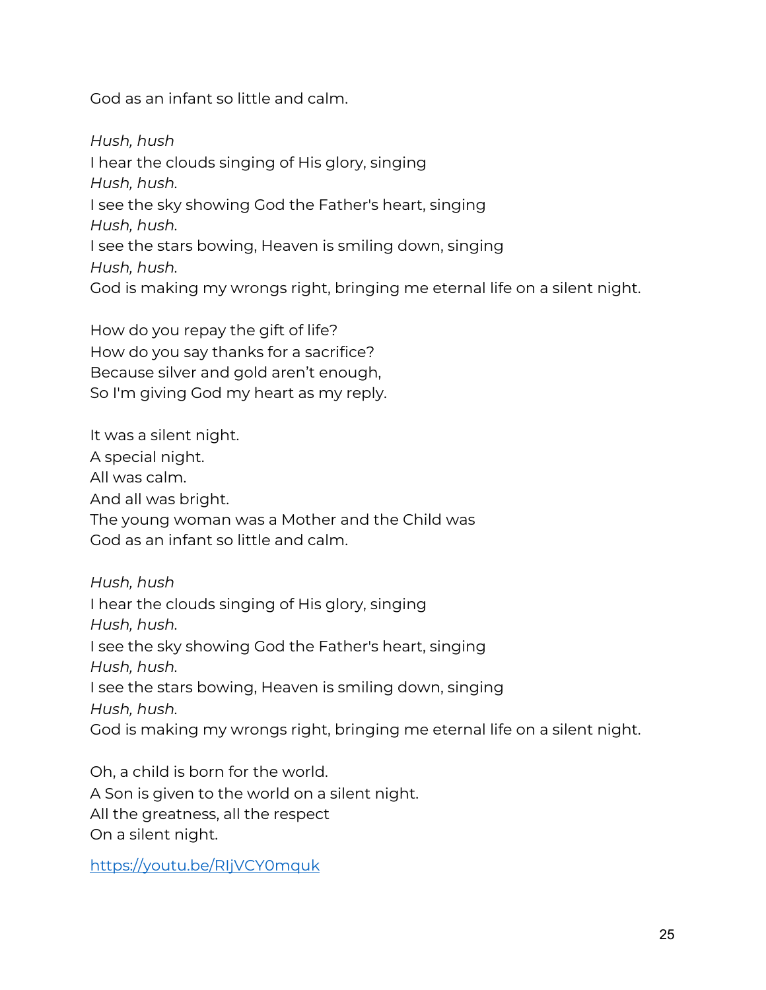God as an infant so little and calm.

*Hush, hush* I hear the clouds singing of His glory, singing *Hush, hush.* I see the sky showing God the Father's heart, singing *Hush, hush.* I see the stars bowing, Heaven is smiling down, singing *Hush, hush.* God is making my wrongs right, bringing me eternal life on a silent night.

How do you repay the gift of life? How do you say thanks for a sacrifice? Because silver and gold aren't enough, So I'm giving God my heart as my reply.

It was a silent night. A special night. All was calm. And all was bright. The young woman was a Mother and the Child was God as an infant so little and calm.

*Hush, hush* I hear the clouds singing of His glory, singing *Hush, hush.* I see the sky showing God the Father's heart, singing *Hush, hush.* I see the stars bowing, Heaven is smiling down, singing *Hush, hush.* God is making my wrongs right, bringing me eternal life on a silent night.

Oh, a child is born for the world. A Son is given to the world on a silent night. All the greatness, all the respect On a silent night.

<https://youtu.be/RIjVCY0mquk>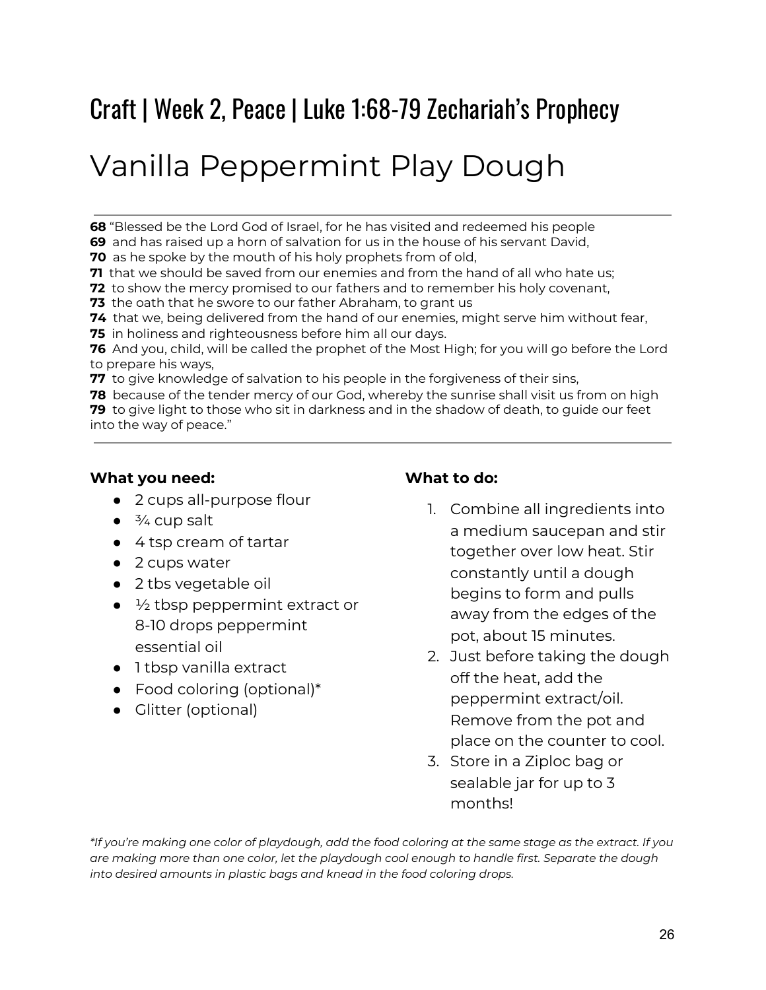### Craft | Week 2, Peace | Luke 1:68-79 Zechariah's Prophecy

# Vanilla Peppermint Play Dough

**68** "Blessed be the Lord God of Israel, for he has visited and redeemed his people

**69** and has raised up a horn of salvation for us in the house of his servant David,

**70** as he spoke by the mouth of his holy prophets from of old,

**71** that we should be saved from our enemies and from the hand of all who hate us;

**72** to show the mercy promised to our fathers and to remember his holy covenant,

**73** the oath that he swore to our father Abraham, to grant us

**74** that we, being delivered from the hand of our enemies, might serve him without fear,

**75** in holiness and righteousness before him all our days.

**76** And you, child, will be called the prophet of the Most High; for you will go before the Lord to prepare his ways,

**77** to give knowledge of salvation to his people in the forgiveness of their sins,

**78** because of the tender mercy of our God, whereby the sunrise shall visit us from on high **79** to give light to those who sit in darkness and in the shadow of death, to guide our feet

into the way of peace."

#### **What you need:**

- 2 cups all-purpose flour
- $\bullet$   $\frac{3}{4}$  cup salt
- 4 tsp cream of tartar
- 2 cups water
- 2 tbs vegetable oil
- $\bullet$   $\frac{1}{2}$  tbsp peppermint extract or 8-10 drops peppermint essential oil
- 1 tbsp vanilla extract
- Food coloring (optional)\*
- Glitter (optional)

#### **What to do:**

- 1. Combine all ingredients into a medium saucepan and stir together over low heat. Stir constantly until a dough begins to form and pulls away from the edges of the pot, about 15 minutes.
- 2. Just before taking the dough off the heat, add the peppermint extract/oil. Remove from the pot and place on the counter to cool.
- 3. Store in a Ziploc bag or sealable jar for up to 3 months!

\*If you're making one color of playdough, add the food coloring at the same stage as the extract. If you *are making more than one color, let the playdough cool enough to handle first. Separate the dough into desired amounts in plastic bags and knead in the food coloring drops.*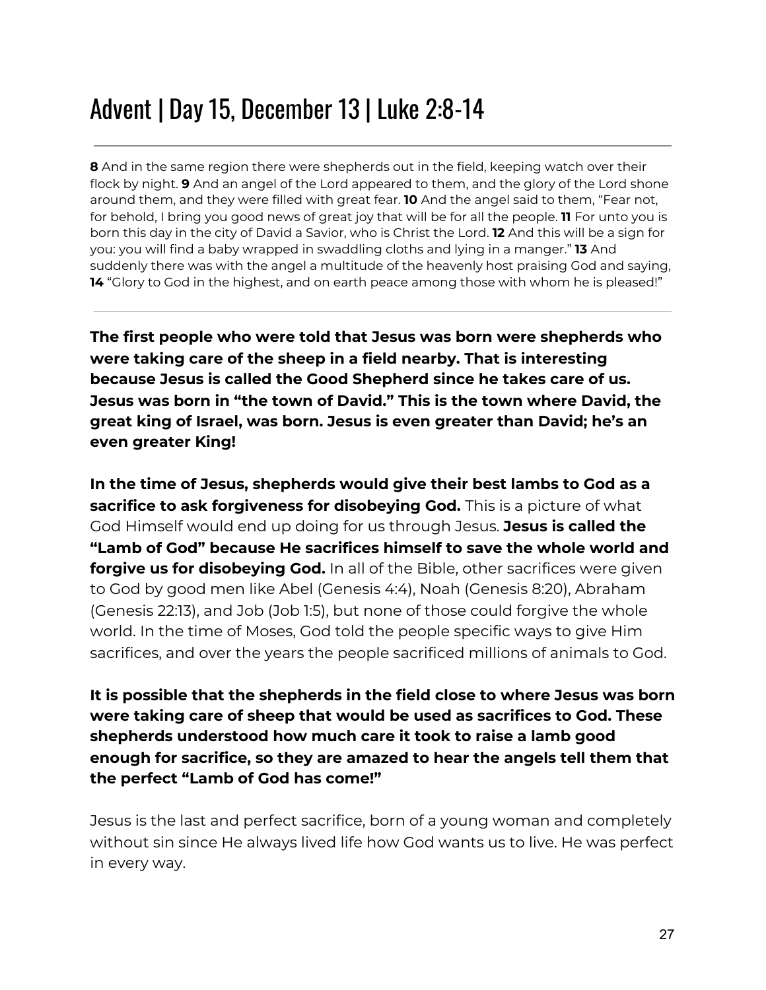### Advent | Day 15, December 13 | Luke 2:8-14

**8** And in the same region there were shepherds out in the field, keeping watch over their flock by night. **9** And an angel of the Lord appeared to them, and the glory of the Lord shone around them, and they were filled with great fear. **10** And the angel said to them, "Fear not, for behold, I bring you good news of great joy that will be for all the people. **11** For unto you is born this day in the city of David a Savior, who is Christ the Lord. **12** And this will be a sign for you: you will find a baby wrapped in swaddling cloths and lying in a manger." **13** And suddenly there was with the angel a multitude of the heavenly host praising God and saying, 14 "Glory to God in the highest, and on earth peace among those with whom he is pleased!"

**The first people who were told that Jesus was born were shepherds who were taking care of the sheep in a field nearby. That is interesting because Jesus is called the Good Shepherd since he takes care of us. Jesus was born in "the town of David." This is the town where David, the great king of Israel, was born. Jesus is even greater than David; he's an even greater King!**

**In the time of Jesus, shepherds would give their best lambs to God as a sacrifice to ask forgiveness for disobeying God.** This is a picture of what God Himself would end up doing for us through Jesus. **Jesus is called the "Lamb of God" because He sacrifices himself to save the whole world and forgive us for disobeying God.** In all of the Bible, other sacrifices were given to God by good men like Abel (Genesis 4:4), Noah (Genesis 8:20), Abraham (Genesis 22:13), and Job (Job 1:5), but none of those could forgive the whole world. In the time of Moses, God told the people specific ways to give Him sacrifices, and over the years the people sacrificed millions of animals to God.

**It is possible that the shepherds in the field close to where Jesus was born were taking care of sheep that would be used as sacrifices to God. These shepherds understood how much care it took to raise a lamb good enough for sacrifice, so they are amazed to hear the angels tell them that the perfect "Lamb of God has come!"**

Jesus is the last and perfect sacrifice, born of a young woman and completely without sin since He always lived life how God wants us to live. He was perfect in every way.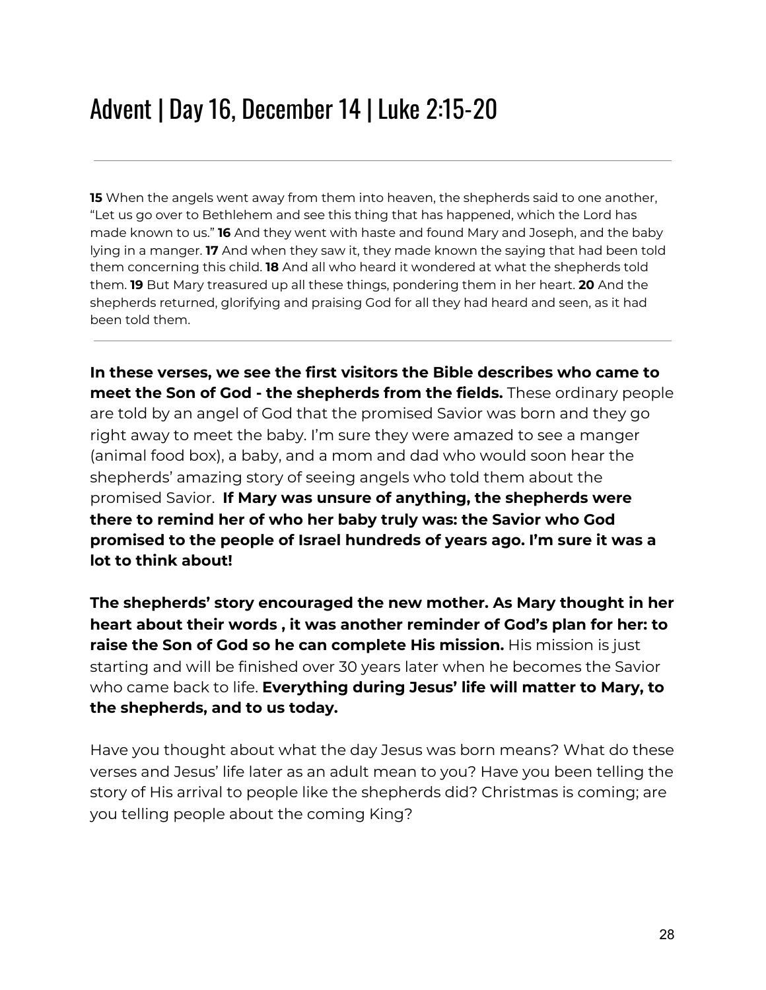### Advent | Day 16, December 14 | Luke 2:15-20

**15** When the angels went away from them into heaven, the shepherds said to one another, "Let us go over to Bethlehem and see this thing that has happened, which the Lord has made known to us." **16** And they went with haste and found Mary and Joseph, and the baby lying in a manger. **17** And when they saw it, they made known the saying that had been told them concerning this child. **18** And all who heard it wondered at what the shepherds told them. **19** But Mary treasured up all these things, pondering them in her heart. **20** And the shepherds returned, glorifying and praising God for all they had heard and seen, as it had been told them.

**In these verses, we see the first visitors the Bible describes who came to meet the Son of God - the shepherds from the fields.** These ordinary people are told by an angel of God that the promised Savior was born and they go right away to meet the baby. I'm sure they were amazed to see a manger (animal food box), a baby, and a mom and dad who would soon hear the shepherds' amazing story of seeing angels who told them about the promised Savior. **If Mary was unsure of anything, the shepherds were there to remind her of who her baby truly was: the Savior who God promised to the people of Israel hundreds of years ago. I'm sure it was a lot to think about!**

**The shepherds' story encouraged the new mother. As Mary thought in her heart about their words , it was another reminder of God's plan for her: to raise the Son of God so he can complete His mission.** His mission is just starting and will be finished over 30 years later when he becomes the Savior who came back to life. **Everything during Jesus' life will matter to Mary, to the shepherds, and to us today.**

Have you thought about what the day Jesus was born means? What do these verses and Jesus' life later as an adult mean to you? Have you been telling the story of His arrival to people like the shepherds did? Christmas is coming; are you telling people about the coming King?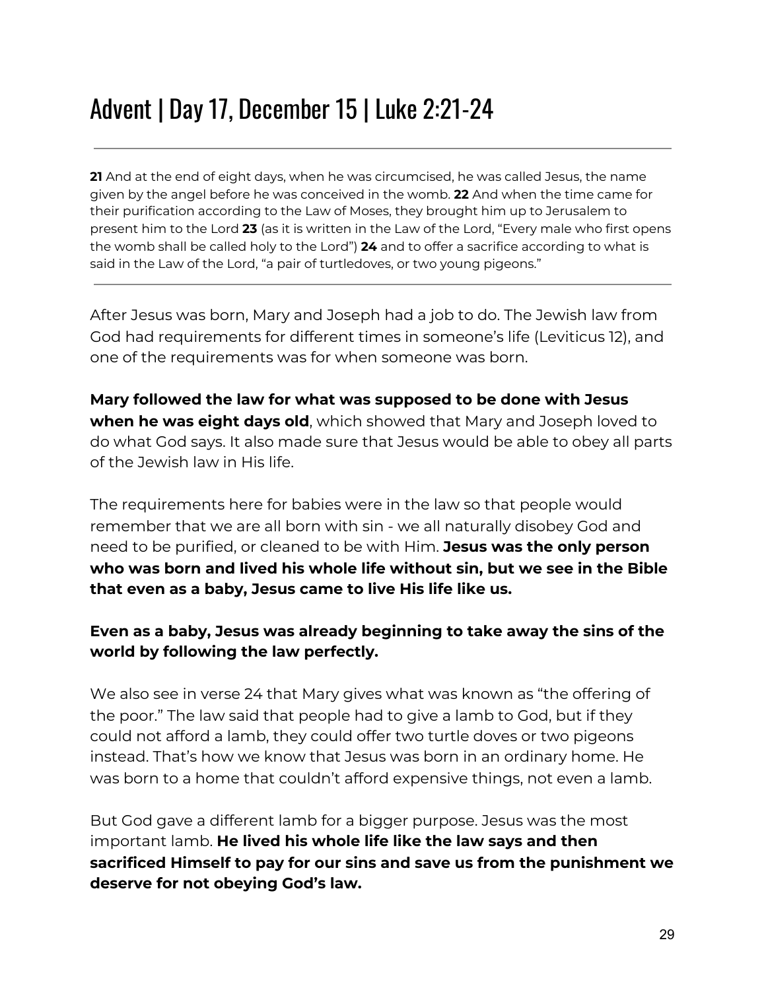### Advent | Day 17, December 15 | Luke 2:21-24

**21** And at the end of eight days, when he was circumcised, he was called Jesus, the name given by the angel before he was conceived in the womb. **22** And when the time came for their purification according to the Law of Moses, they brought him up to Jerusalem to present him to the Lord **23** (as it is written in the Law of the Lord, "Every male who first opens the womb shall be called holy to the Lord") **24** and to offer a sacrifice according to what is said in the Law of the Lord, "a pair of turtledoves, or two young pigeons."

After Jesus was born, Mary and Joseph had a job to do. The Jewish law from God had requirements for different times in someone's life (Leviticus 12), and one of the requirements was for when someone was born.

**Mary followed the law for what was supposed to be done with Jesus when he was eight days old**, which showed that Mary and Joseph loved to do what God says. It also made sure that Jesus would be able to obey all parts of the Jewish law in His life.

The requirements here for babies were in the law so that people would remember that we are all born with sin - we all naturally disobey God and need to be purified, or cleaned to be with Him. **Jesus was the only person who was born and lived his whole life without sin, but we see in the Bible that even as a baby, Jesus came to live His life like us.**

#### **Even as a baby, Jesus was already beginning to take away the sins of the world by following the law perfectly.**

We also see in verse 24 that Mary gives what was known as "the offering of the poor." The law said that people had to give a lamb to God, but if they could not afford a lamb, they could offer two turtle doves or two pigeons instead. That's how we know that Jesus was born in an ordinary home. He was born to a home that couldn't afford expensive things, not even a lamb.

But God gave a different lamb for a bigger purpose. Jesus was the most important lamb. **He lived his whole life like the law says and then sacrificed Himself to pay for our sins and save us from the punishment we deserve for not obeying God's law.**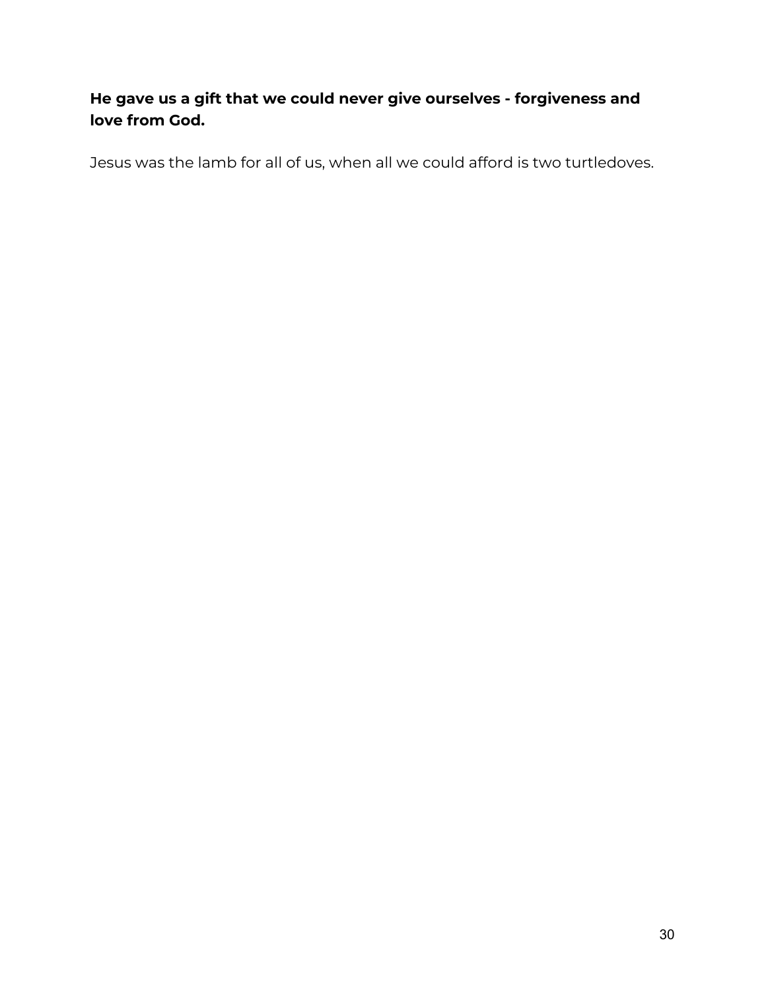#### **He gave us a gift that we could never give ourselves - forgiveness and love from God.**

Jesus was the lamb for all of us, when all we could afford is two turtledoves.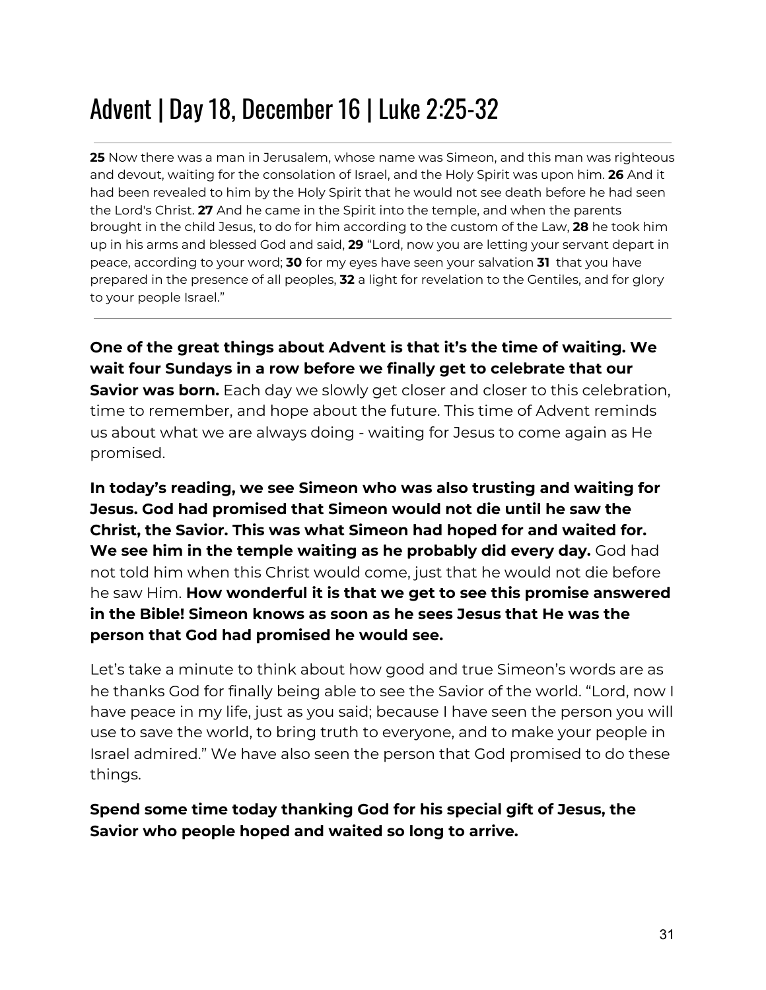## Advent | Day 18, December 16 | Luke 2:25-32

**25** Now there was a man in Jerusalem, whose name was Simeon, and this man was righteous and devout, waiting for the consolation of Israel, and the Holy Spirit was upon him. **26** And it had been revealed to him by the Holy Spirit that he would not see death before he had seen the Lord's Christ. **27** And he came in the Spirit into the temple, and when the parents brought in the child Jesus, to do for him according to the custom of the Law, **28** he took him up in his arms and blessed God and said, **29** "Lord, now you are letting your servant depart in peace, according to your word; **30** for my eyes have seen your salvation **31** that you have prepared in the presence of all peoples, **32** a light for revelation to the Gentiles, and for glory to your people Israel."

**One of the great things about Advent is that it's the time of waiting. We wait four Sundays in a row before we finally get to celebrate that our Savior was born.** Each day we slowly get closer and closer to this celebration, time to remember, and hope about the future. This time of Advent reminds us about what we are always doing - waiting for Jesus to come again as He promised.

**In today's reading, we see Simeon who was also trusting and waiting for Jesus. God had promised that Simeon would not die until he saw the Christ, the Savior. This was what Simeon had hoped for and waited for. We see him in the temple waiting as he probably did every day.** God had not told him when this Christ would come, just that he would not die before he saw Him. **How wonderful it is that we get to see this promise answered in the Bible! Simeon knows as soon as he sees Jesus that He was the person that God had promised he would see.**

Let's take a minute to think about how good and true Simeon's words are as he thanks God for finally being able to see the Savior of the world. "Lord, now I have peace in my life, just as you said; because I have seen the person you will use to save the world, to bring truth to everyone, and to make your people in Israel admired." We have also seen the person that God promised to do these things.

**Spend some time today thanking God for his special gift of Jesus, the Savior who people hoped and waited so long to arrive.**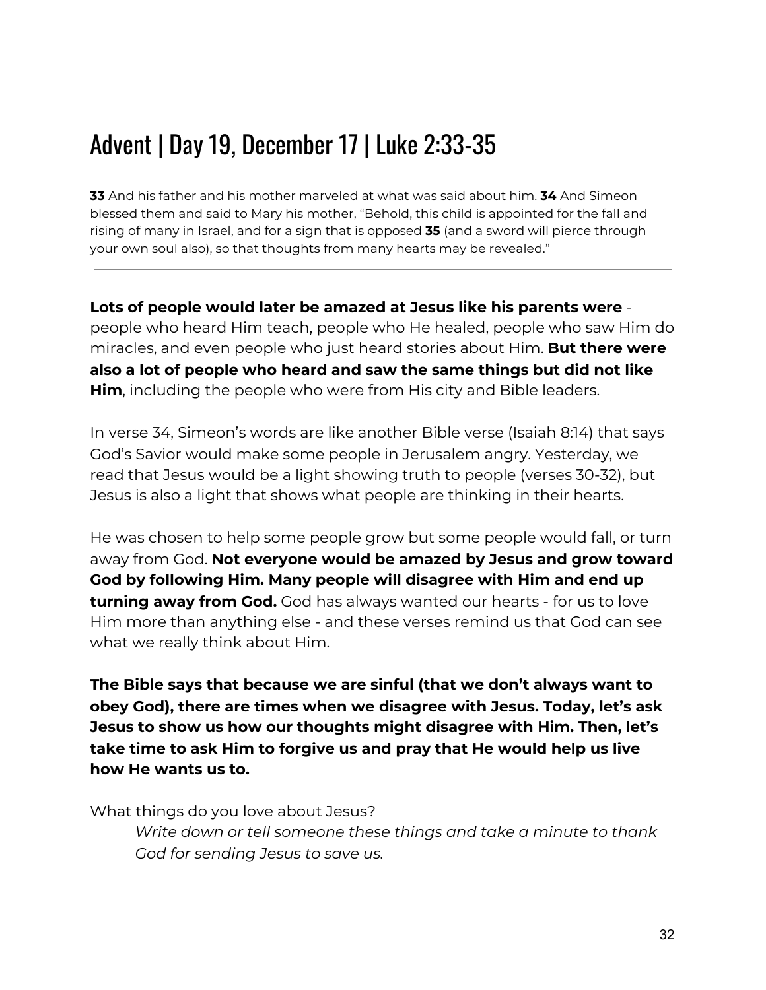### Advent | Day 19, December 17 | Luke 2:33-35

**33** And his father and his mother marveled at what was said about him. **34** And Simeon blessed them and said to Mary his mother, "Behold, this child is appointed for the fall and rising of many in Israel, and for a sign that is opposed **35** (and a sword will pierce through your own soul also), so that thoughts from many hearts may be revealed."

**Lots of people would later be amazed at Jesus like his parents were** people who heard Him teach, people who He healed, people who saw Him do miracles, and even people who just heard stories about Him. **But there were also a lot of people who heard and saw the same things but did not like Him**, including the people who were from His city and Bible leaders.

In verse 34, Simeon's words are like another Bible verse (Isaiah 8:14) that says God's Savior would make some people in Jerusalem angry. Yesterday, we read that Jesus would be a light showing truth to people (verses 30-32), but Jesus is also a light that shows what people are thinking in their hearts.

He was chosen to help some people grow but some people would fall, or turn away from God. **Not everyone would be amazed by Jesus and grow toward God by following Him. Many people will disagree with Him and end up turning away from God.** God has always wanted our hearts - for us to love Him more than anything else - and these verses remind us that God can see what we really think about Him.

**The Bible says that because we are sinful (that we don't always want to obey God), there are times when we disagree with Jesus. Today, let's ask Jesus to show us how our thoughts might disagree with Him. Then, let's take time to ask Him to forgive us and pray that He would help us live how He wants us to.**

What things do you love about Jesus?

*Write down or tell someone these things and take a minute to thank God for sending Jesus to save us.*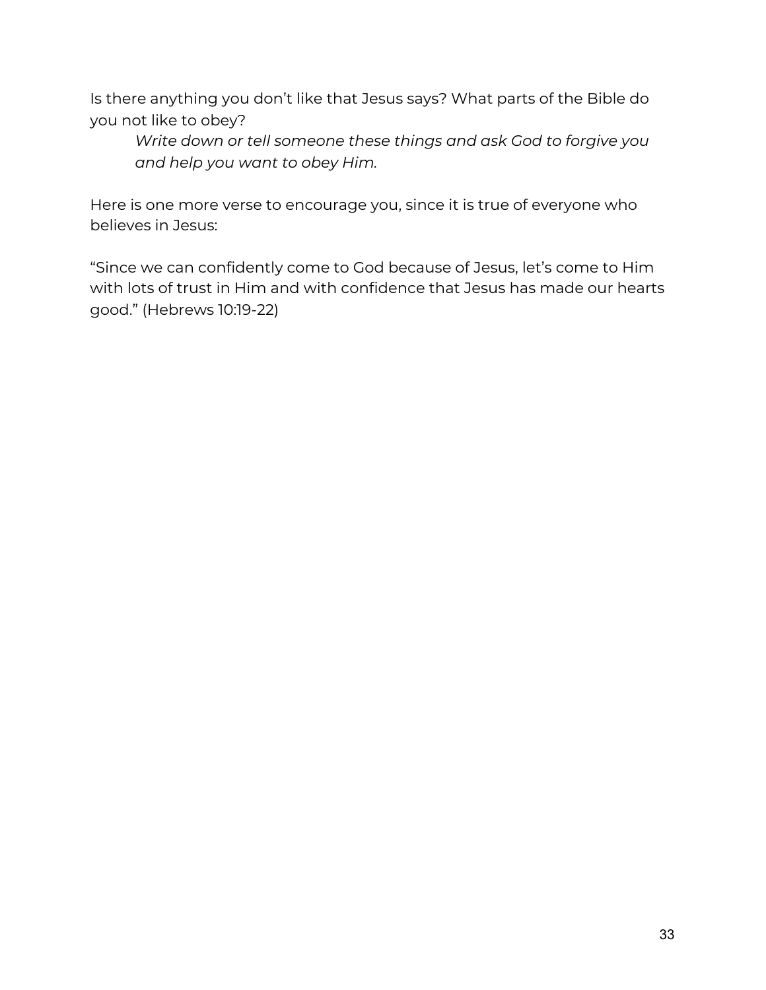Is there anything you don't like that Jesus says? What parts of the Bible do you not like to obey?

*Write down or tell someone these things and ask God to forgive you and help you want to obey Him.*

Here is one more verse to encourage you, since it is true of everyone who believes in Jesus:

"Since we can confidently come to God because of Jesus, let's come to Him with lots of trust in Him and with confidence that Jesus has made our hearts good." (Hebrews 10:19-22)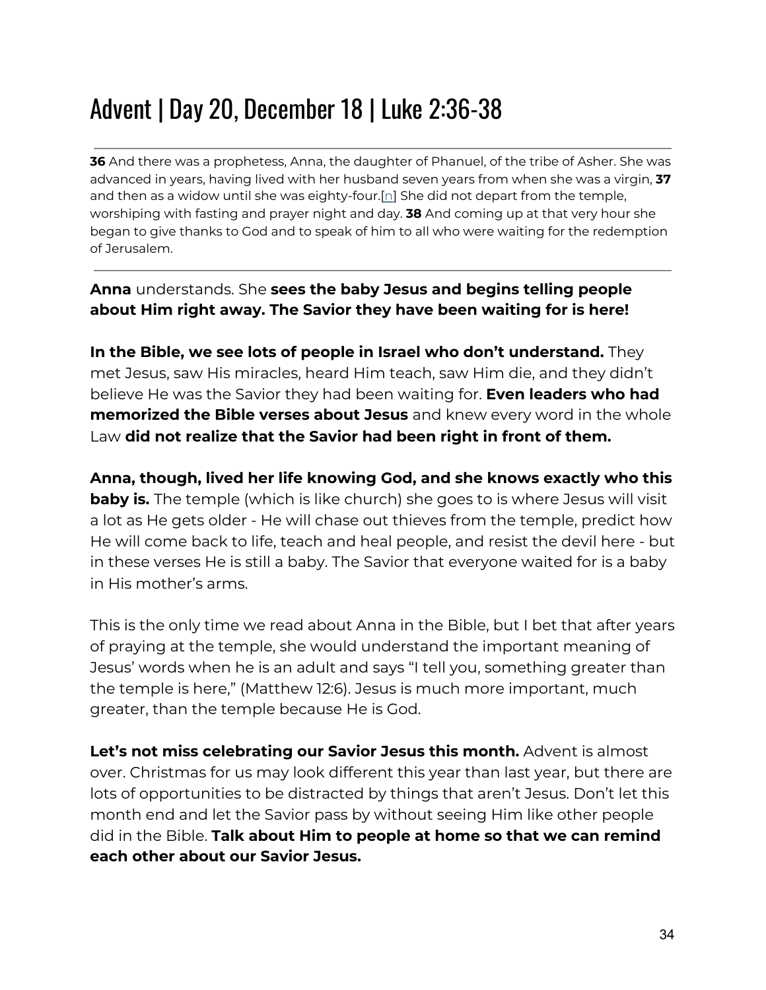### Advent | Day 20, December 18 | Luke 2:36-38

**36** And there was a prophetess, Anna, the daughter of Phanuel, of the tribe of Asher. She was advanced in years, having lived with her husband seven years from when she was a virgin, **37** a[n](https://www.biblegateway.com/passage/?search=luke+1-3&version=ESV#fen-ESV-25002n)d then as a widow until she was eighty-four. $[n]$  She did not depart from the temple, worshiping with fasting and prayer night and day. **38** And coming up at that very hour she began to give thanks to God and to speak of him to all who were waiting for the redemption of Jerusalem.

#### **Anna** understands. She **sees the baby Jesus and begins telling people about Him right away. The Savior they have been waiting for is here!**

**In the Bible, we see lots of people in Israel who don't understand.** They met Jesus, saw His miracles, heard Him teach, saw Him die, and they didn't believe He was the Savior they had been waiting for. **Even leaders who had memorized the Bible verses about Jesus** and knew every word in the whole Law **did not realize that the Savior had been right in front of them.**

**Anna, though, lived her life knowing God, and she knows exactly who this baby is.** The temple (which is like church) she goes to is where Jesus will visit a lot as He gets older - He will chase out thieves from the temple, predict how He will come back to life, teach and heal people, and resist the devil here - but in these verses He is still a baby. The Savior that everyone waited for is a baby in His mother's arms.

This is the only time we read about Anna in the Bible, but I bet that after years of praying at the temple, she would understand the important meaning of Jesus' words when he is an adult and says "I tell you, something greater than the temple is here," (Matthew 12:6). Jesus is much more important, much greater, than the temple because He is God.

**Let's not miss celebrating our Savior Jesus this month.** Advent is almost over. Christmas for us may look different this year than last year, but there are lots of opportunities to be distracted by things that aren't Jesus. Don't let this month end and let the Savior pass by without seeing Him like other people did in the Bible. **Talk about Him to people at home so that we can remind each other about our Savior Jesus.**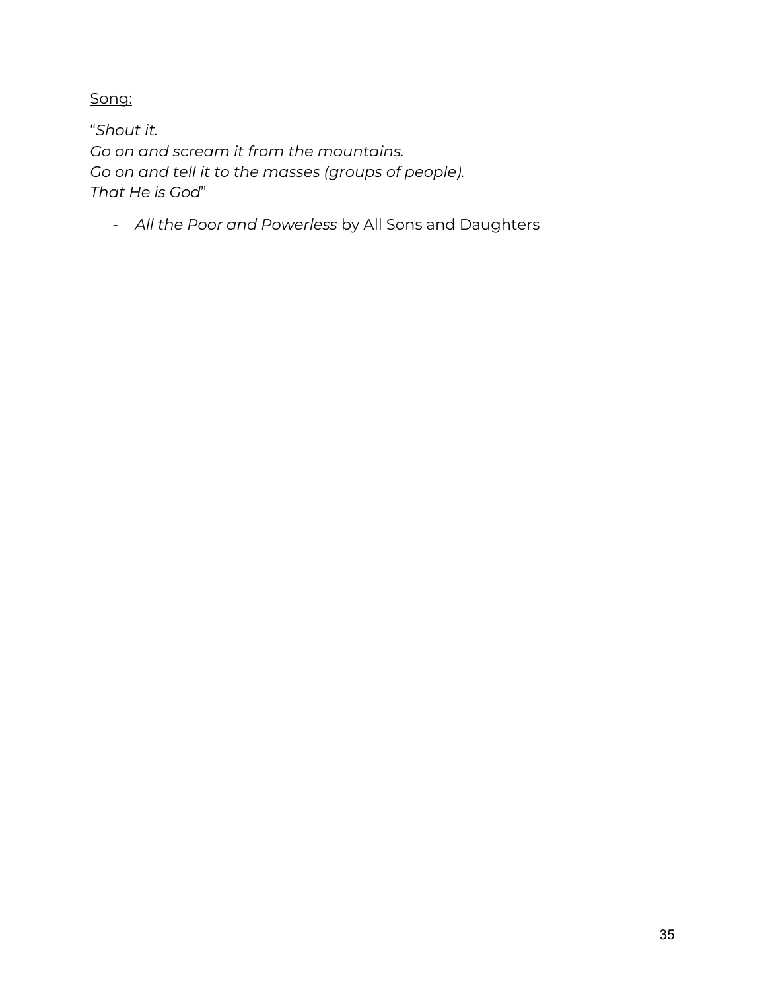Song:

"*Shout it. Go on and scream it from the mountains. Go on and tell it to the masses (groups of people). That He is God*"

- *All the Poor and Powerless* by All Sons and Daughters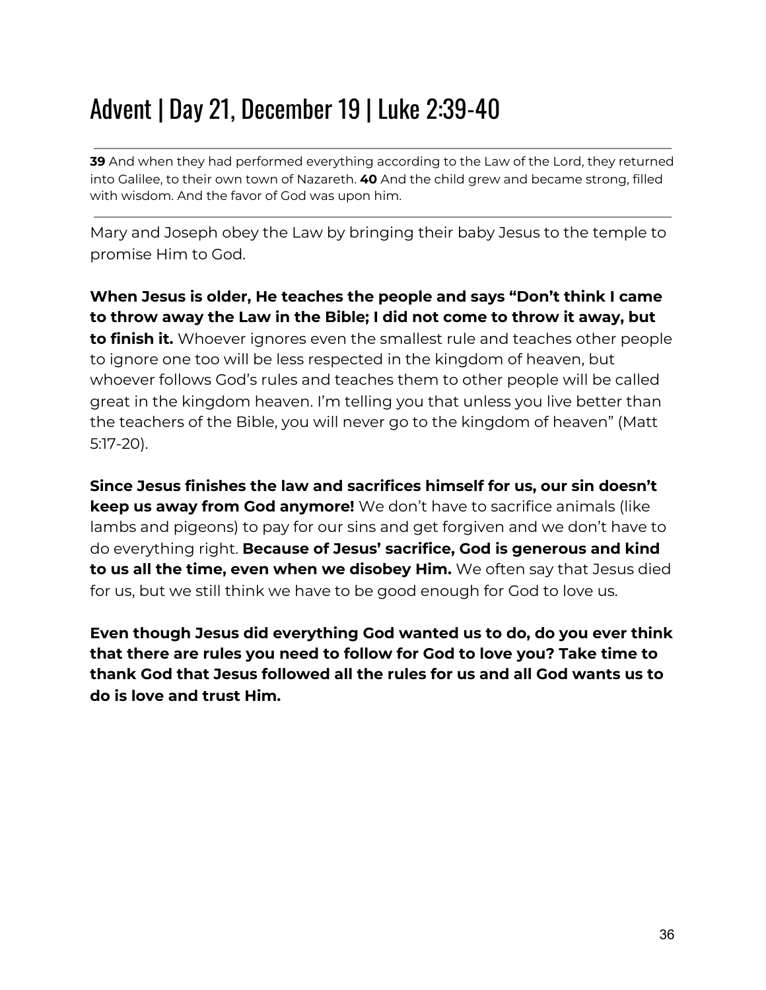### Advent | Day 21, December 19 | Luke 2:39-40

**39** And when they had performed everything according to the Law of the Lord, they returned into Galilee, to their own town of Nazareth. **40** And the child grew and became strong, filled with wisdom. And the favor of God was upon him.

Mary and Joseph obey the Law by bringing their baby Jesus to the temple to promise Him to God.

**When Jesus is older, He teaches the people and says "Don't think I came to throw away the Law in the Bible; I did not come to throw it away, but to finish it.** Whoever ignores even the smallest rule and teaches other people to ignore one too will be less respected in the kingdom of heaven, but whoever follows God's rules and teaches them to other people will be called great in the kingdom heaven. I'm telling you that unless you live better than the teachers of the Bible, you will never go to the kingdom of heaven" (Matt 5:17-20).

**Since Jesus finishes the law and sacrifices himself for us, our sin doesn't keep us away from God anymore!** We don't have to sacrifice animals (like lambs and pigeons) to pay for our sins and get forgiven and we don't have to do everything right. **Because of Jesus' sacrifice, God is generous and kind to us all the time, even when we disobey Him.** We often say that Jesus died for us, but we still think we have to be good enough for God to love us.

**Even though Jesus did everything God wanted us to do, do you ever think that there are rules you need to follow for God to love you? Take time to thank God that Jesus followed all the rules for us and all God wants us to do is love and trust Him.**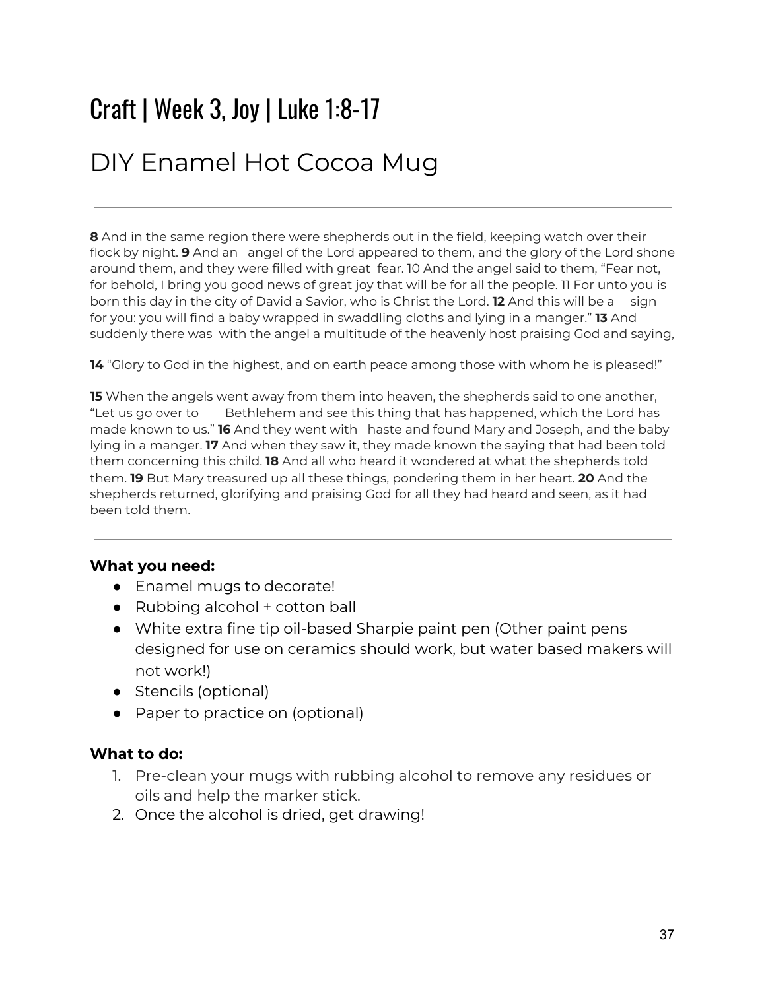### Craft | Week 3, Joy | Luke 1:8-17

#### DIY Enamel Hot Cocoa Mug

**8** And in the same region there were shepherds out in the field, keeping watch over their flock by night. **9** And an angel of the Lord appeared to them, and the glory of the Lord shone around them, and they were filled with great fear. 10 And the angel said to them, "Fear not, for behold, I bring you good news of great joy that will be for all the people. 11 For unto you is born this day in the city of David a Savior, who is Christ the Lord. **12** And this will be a sign for you: you will find a baby wrapped in swaddling cloths and lying in a manger." **13** And suddenly there was with the angel a multitude of the heavenly host praising God and saying,

**14** "Glory to God in the highest, and on earth peace among those with whom he is pleased!"

**15** When the angels went away from them into heaven, the shepherds said to one another, "Let us go over to Bethlehem and see this thing that has happened, which the Lord has made known to us." **16** And they went with haste and found Mary and Joseph, and the baby lying in a manger. **17** And when they saw it, they made known the saying that had been told them concerning this child. **18** And all who heard it wondered at what the shepherds told them. **19** But Mary treasured up all these things, pondering them in her heart. **20** And the shepherds returned, glorifying and praising God for all they had heard and seen, as it had been told them.

#### **What you need:**

- Enamel mugs to decorate!
- Rubbing alcohol + cotton ball
- White extra fine tip oil-based Sharpie paint pen (Other paint pens designed for use on ceramics should work, but water based makers will not work!)
- Stencils (optional)
- Paper to practice on (optional)

#### **What to do:**

- 1. Pre-clean your mugs with rubbing alcohol to remove any residues or oils and help the marker stick.
- 2. Once the alcohol is dried, get drawing!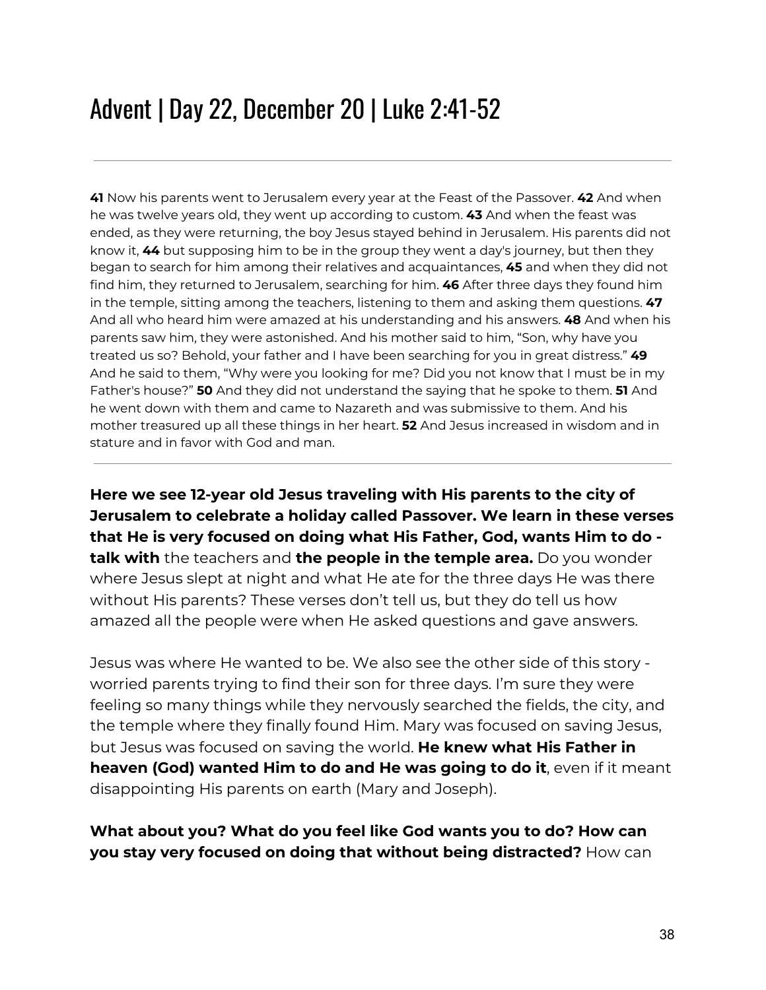### Advent | Day 22, December 20 | Luke 2:41-52

**41** Now his parents went to Jerusalem every year at the Feast of the Passover. **42** And when he was twelve years old, they went up according to custom. **43** And when the feast was ended, as they were returning, the boy Jesus stayed behind in Jerusalem. His parents did not know it, **44** but supposing him to be in the group they went a day's journey, but then they began to search for him among their relatives and acquaintances, **45** and when they did not find him, they returned to Jerusalem, searching for him. **46** After three days they found him in the temple, sitting among the teachers, listening to them and asking them questions. **47** And all who heard him were amazed at his understanding and his answers. **48** And when his parents saw him, they were astonished. And his mother said to him, "Son, why have you treated us so? Behold, your father and I have been searching for you in great distress." **49** And he said to them, "Why were you looking for me? Did you not know that I must be in my Father's house?" **50** And they did not understand the saying that he spoke to them. **51** And he went down with them and came to Nazareth and was submissive to them. And his mother treasured up all these things in her heart. **52** And Jesus increased in wisdom and in stature and in favor with God and man.

**Here we see 12-year old Jesus traveling with His parents to the city of Jerusalem to celebrate a holiday called Passover. We learn in these verses that He is very focused on doing what His Father, God, wants Him to do talk with** the teachers and **the people in the temple area.** Do you wonder where Jesus slept at night and what He ate for the three days He was there without His parents? These verses don't tell us, but they do tell us how amazed all the people were when He asked questions and gave answers.

Jesus was where He wanted to be. We also see the other side of this story worried parents trying to find their son for three days. I'm sure they were feeling so many things while they nervously searched the fields, the city, and the temple where they finally found Him. Mary was focused on saving Jesus, but Jesus was focused on saving the world. **He knew what His Father in heaven (God) wanted Him to do and He was going to do it**, even if it meant disappointing His parents on earth (Mary and Joseph).

#### **What about you? What do you feel like God wants you to do? How can you stay very focused on doing that without being distracted?** How can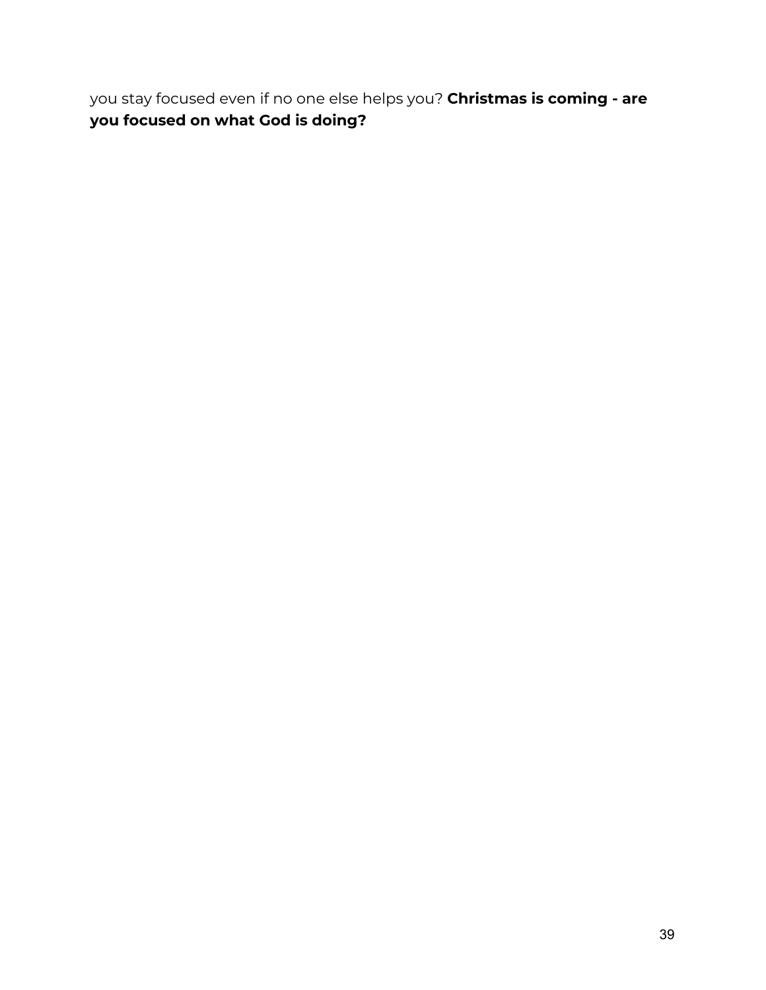you stay focused even if no one else helps you? **Christmas is coming - are you focused on what God is doing?**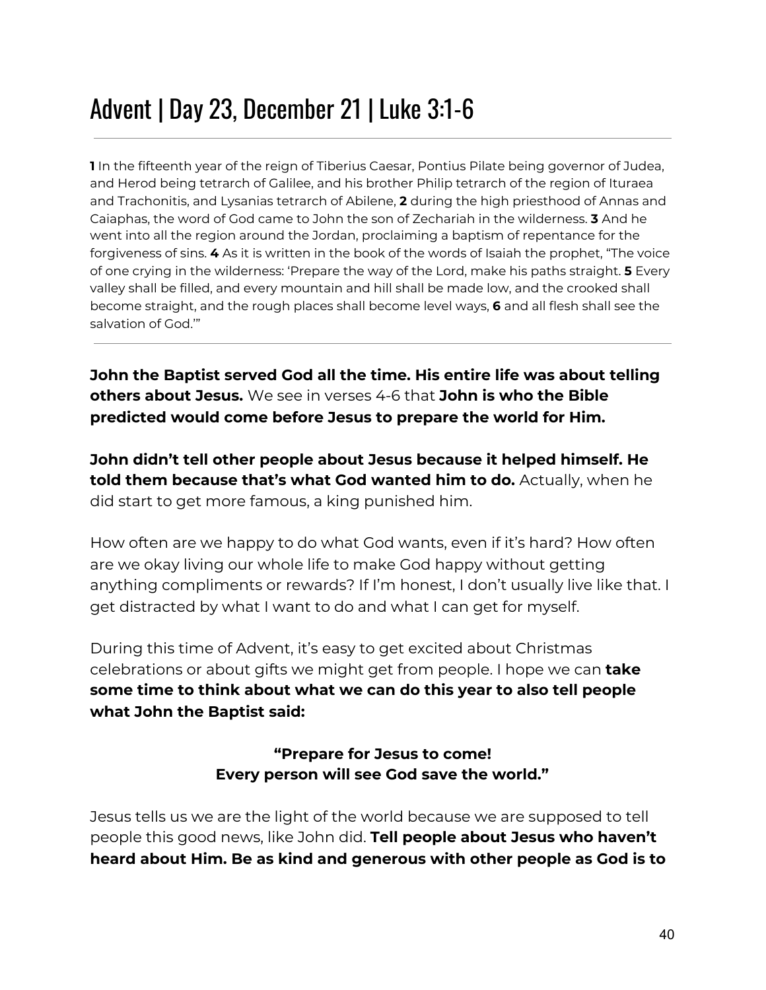### Advent | Day 23, December 21 | Luke 3:1-6

**1** In the fifteenth year of the reign of Tiberius Caesar, Pontius Pilate being governor of Judea, and Herod being tetrarch of Galilee, and his brother Philip tetrarch of the region of Ituraea and Trachonitis, and Lysanias tetrarch of Abilene, **2** during the high priesthood of Annas and Caiaphas, the word of God came to John the son of Zechariah in the wilderness. **3** And he went into all the region around the Jordan, proclaiming a baptism of repentance for the forgiveness of sins. **4** As it is written in the book of the words of Isaiah the prophet, "The voice of one crying in the wilderness: 'Prepare the way of the Lord, make his paths straight. **5** Every valley shall be filled, and every mountain and hill shall be made low, and the crooked shall become straight, and the rough places shall become level ways, **6** and all flesh shall see the salvation of God.'"

**John the Baptist served God all the time. His entire life was about telling others about Jesus.** We see in verses 4-6 that **John is who the Bible predicted would come before Jesus to prepare the world for Him.**

**John didn't tell other people about Jesus because it helped himself. He told them because that's what God wanted him to do.** Actually, when he did start to get more famous, a king punished him.

How often are we happy to do what God wants, even if it's hard? How often are we okay living our whole life to make God happy without getting anything compliments or rewards? If I'm honest, I don't usually live like that. I get distracted by what I want to do and what I can get for myself.

During this time of Advent, it's easy to get excited about Christmas celebrations or about gifts we might get from people. I hope we can **take some time to think about what we can do this year to also tell people what John the Baptist said:**

#### **"Prepare for Jesus to come! Every person will see God save the world."**

Jesus tells us we are the light of the world because we are supposed to tell people this good news, like John did. **Tell people about Jesus who haven't heard about Him. Be as kind and generous with other people as God is to**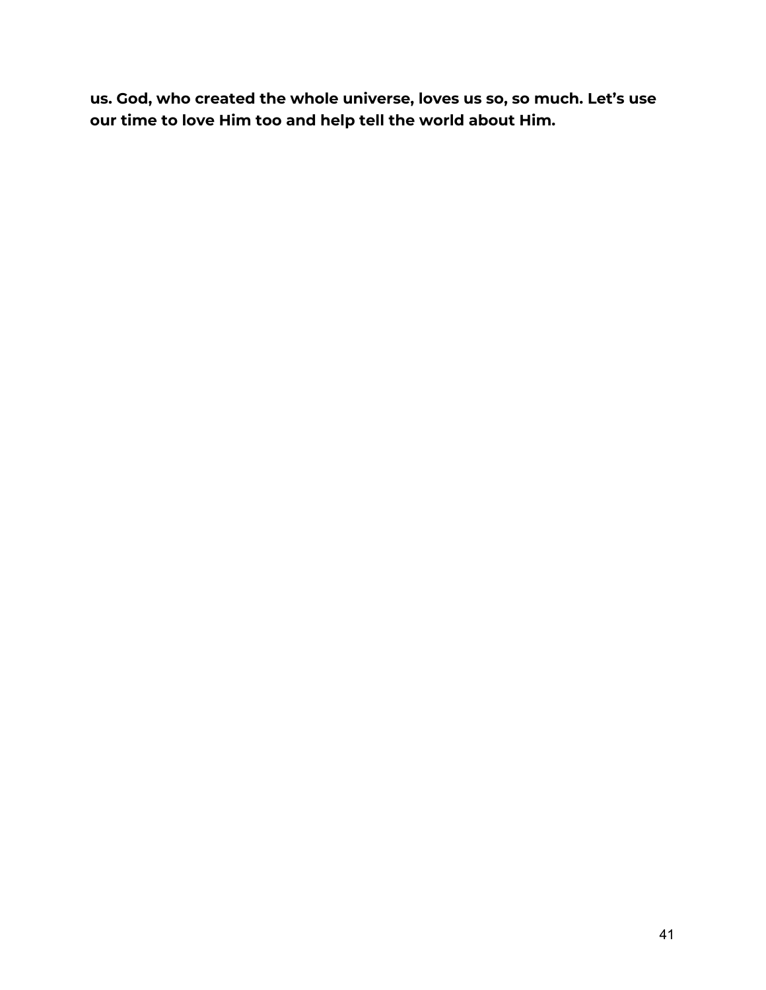**us. God, who created the whole universe, loves us so, so much. Let's use our time to love Him too and help tell the world about Him.**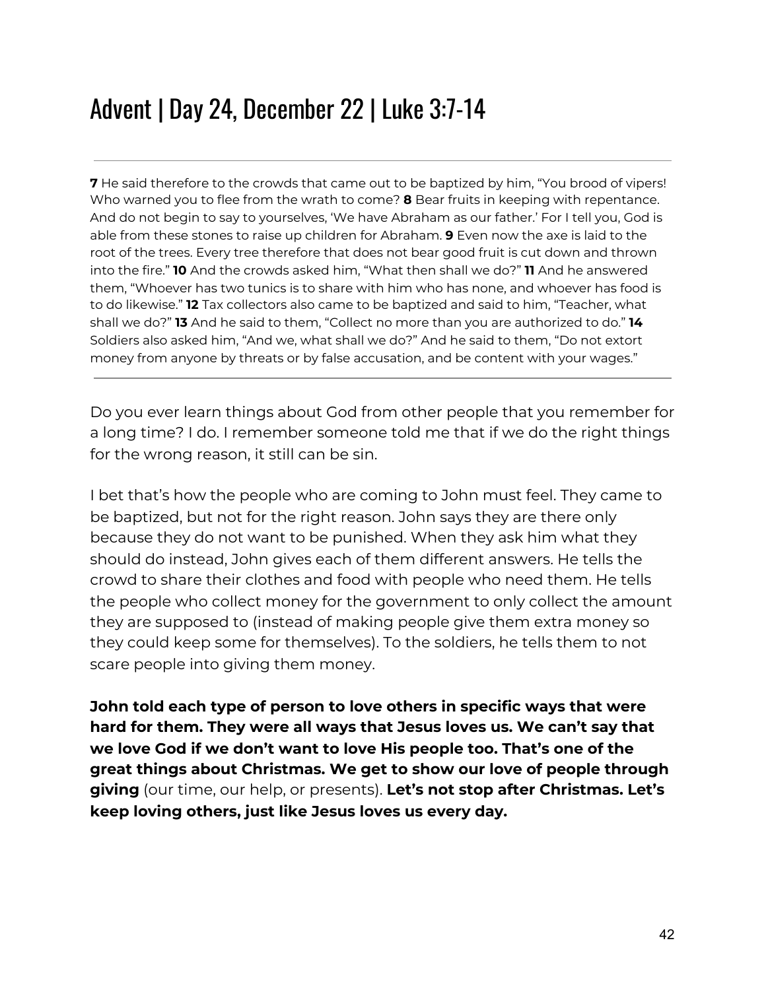### Advent | Day 24, December 22 | Luke 3:7-14

**7** He said therefore to the crowds that came out to be baptized by him, "You brood of vipers! Who warned you to flee from the wrath to come? **8** Bear fruits in keeping with repentance. And do not begin to say to yourselves, 'We have Abraham as our father.' For I tell you, God is able from these stones to raise up children for Abraham. **9** Even now the axe is laid to the root of the trees. Every tree therefore that does not bear good fruit is cut down and thrown into the fire." **10** And the crowds asked him, "What then shall we do?" **11** And he answered them, "Whoever has two tunics is to share with him who has none, and whoever has food is to do likewise." **12** Tax collectors also came to be baptized and said to him, "Teacher, what shall we do?" **13** And he said to them, "Collect no more than you are authorized to do." **14** Soldiers also asked him, "And we, what shall we do?" And he said to them, "Do not extort money from anyone by threats or by false accusation, and be content with your wages."

Do you ever learn things about God from other people that you remember for a long time? I do. I remember someone told me that if we do the right things for the wrong reason, it still can be sin.

I bet that's how the people who are coming to John must feel. They came to be baptized, but not for the right reason. John says they are there only because they do not want to be punished. When they ask him what they should do instead, John gives each of them different answers. He tells the crowd to share their clothes and food with people who need them. He tells the people who collect money for the government to only collect the amount they are supposed to (instead of making people give them extra money so they could keep some for themselves). To the soldiers, he tells them to not scare people into giving them money.

**John told each type of person to love others in specific ways that were hard for them. They were all ways that Jesus loves us. We can't say that we love God if we don't want to love His people too. That's one of the great things about Christmas. We get to show our love of people through giving** (our time, our help, or presents). **Let's not stop after Christmas. Let's keep loving others, just like Jesus loves us every day.**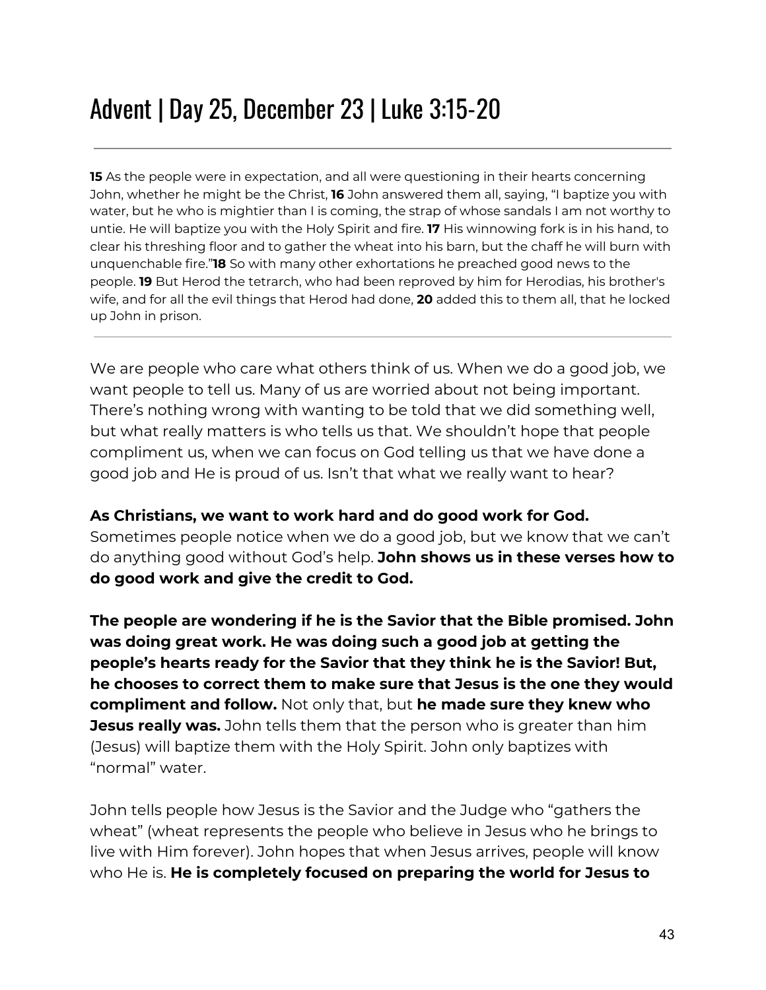## Advent | Day 25, December 23 | Luke 3:15-20

**15** As the people were in expectation, and all were questioning in their hearts concerning John, whether he might be the Christ, **16** John answered them all, saying, "I baptize you with water, but he who is mightier than I is coming, the strap of whose sandals I am not worthy to untie. He will baptize you with the Holy Spirit and fire. **17** His winnowing fork is in his hand, to clear his threshing floor and to gather the wheat into his barn, but the chaff he will burn with unquenchable fire."**18** So with many other exhortations he preached good news to the people. **19** But Herod the tetrarch, who had been reproved by him for Herodias, his brother's wife, and for all the evil things that Herod had done, **20** added this to them all, that he locked up John in prison.

We are people who care what others think of us. When we do a good job, we want people to tell us. Many of us are worried about not being important. There's nothing wrong with wanting to be told that we did something well, but what really matters is who tells us that. We shouldn't hope that people compliment us, when we can focus on God telling us that we have done a good job and He is proud of us. Isn't that what we really want to hear?

#### **As Christians, we want to work hard and do good work for God.** Sometimes people notice when we do a good job, but we know that we can't do anything good without God's help. **John shows us in these verses how to do good work and give the credit to God.**

**The people are wondering if he is the Savior that the Bible promised. John was doing great work. He was doing such a good job at getting the people's hearts ready for the Savior that they think he is the Savior! But, he chooses to correct them to make sure that Jesus is the one they would compliment and follow.** Not only that, but **he made sure they knew who Jesus really was.** John tells them that the person who is greater than him (Jesus) will baptize them with the Holy Spirit. John only baptizes with "normal" water.

John tells people how Jesus is the Savior and the Judge who "gathers the wheat" (wheat represents the people who believe in Jesus who he brings to live with Him forever). John hopes that when Jesus arrives, people will know who He is. **He is completely focused on preparing the world for Jesus to**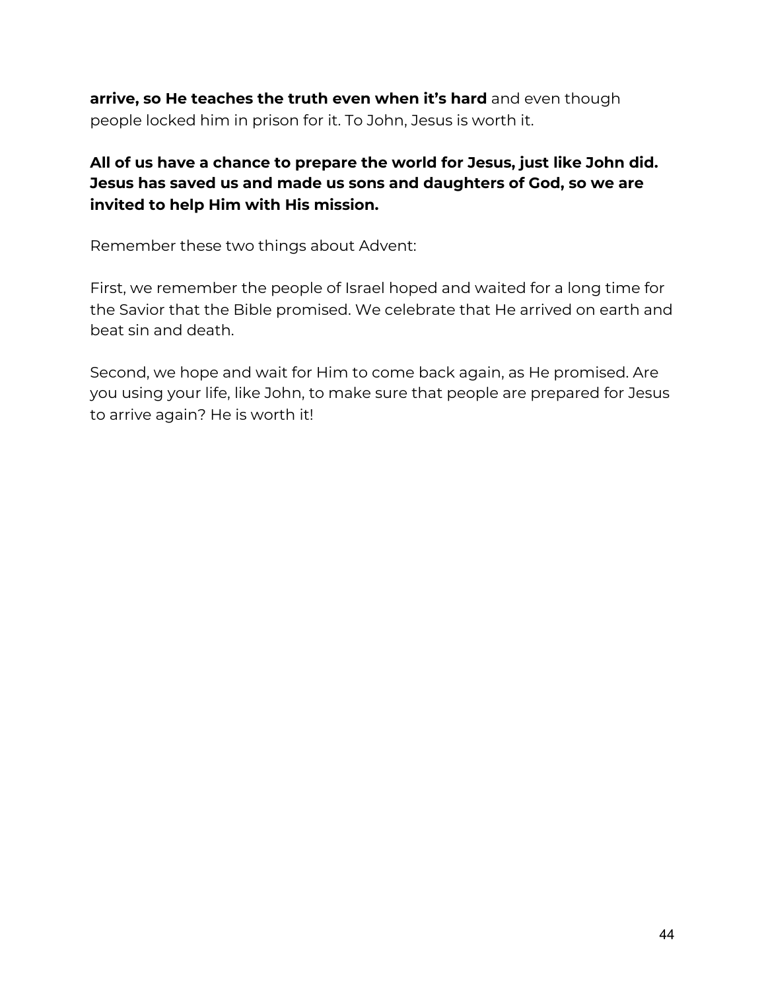**arrive, so He teaches the truth even when it's hard** and even though people locked him in prison for it. To John, Jesus is worth it.

#### **All of us have a chance to prepare the world for Jesus, just like John did. Jesus has saved us and made us sons and daughters of God, so we are invited to help Him with His mission.**

Remember these two things about Advent:

First, we remember the people of Israel hoped and waited for a long time for the Savior that the Bible promised. We celebrate that He arrived on earth and beat sin and death.

Second, we hope and wait for Him to come back again, as He promised. Are you using your life, like John, to make sure that people are prepared for Jesus to arrive again? He is worth it!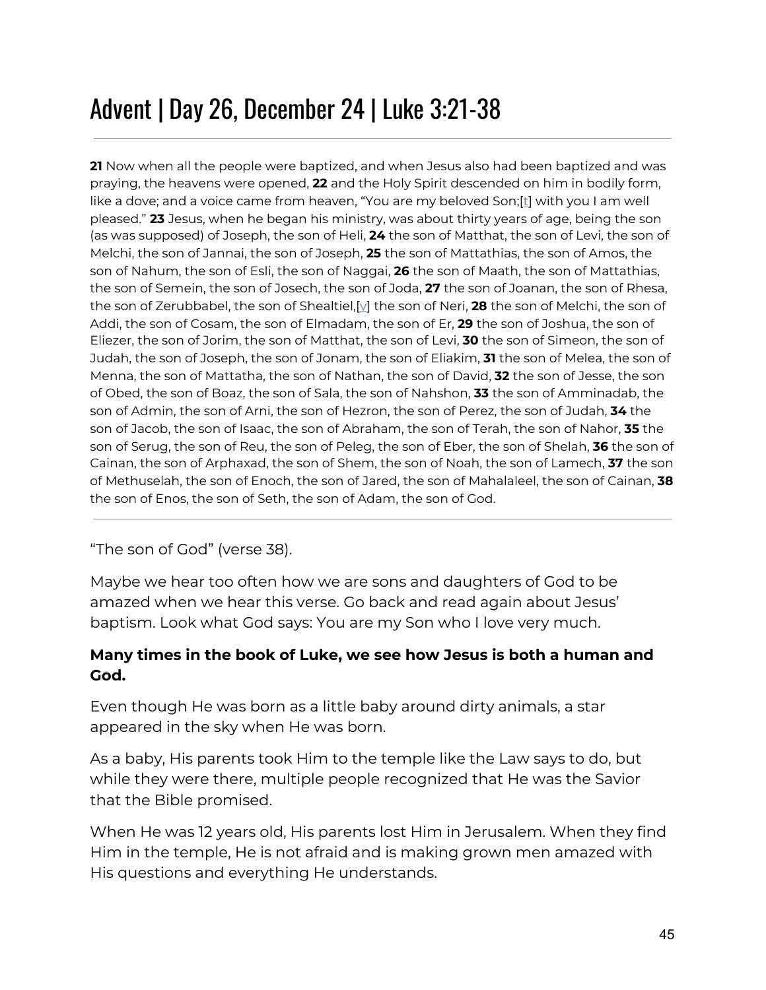## Advent | Day 26, December 24 | Luke 3:21-38

**21** Now when all the people were baptized, and when Jesus also had been baptized and was praying, the heavens were opened, **22** and the Holy Spirit descended on him in bodily form, like a dove; and a voice came from heaven, "You are my beloved Son;[\[t](https://www.biblegateway.com/passage/?search=luke+1-3&version=ESV#fen-ESV-25039t)] with you I am well pleased." **23** Jesus, when he began his ministry, was about thirty years of age, being the son (as was supposed) of Joseph, the son of Heli, **24** the son of Matthat, the son of Levi, the son of Melchi, the son of Jannai, the son of Joseph, **25** the son of Mattathias, the son of Amos, the son of Nahum, the son of Esli, the son of Naggai, **26** the son of Maath, the son of Mattathias, the son of Semein, the son of Josech, the son of Joda, **27** the son of Joanan, the son of Rhesa, the son of Zerubbabel, the son of Shealtiel,[[v](https://www.biblegateway.com/passage/?search=luke+1-3&version=ESV#fen-ESV-25044v)] the son of Neri, **28** the son of Melchi, the son of Addi, the son of Cosam, the son of Elmadam, the son of Er, **29** the son of Joshua, the son of Eliezer, the son of Jorim, the son of Matthat, the son of Levi, **30** the son of Simeon, the son of Judah, the son of Joseph, the son of Jonam, the son of Eliakim, **31** the son of Melea, the son of Menna, the son of Mattatha, the son of Nathan, the son of David, **32** the son of Jesse, the son of Obed, the son of Boaz, the son of Sala, the son of Nahshon, **33** the son of Amminadab, the son of Admin, the son of Arni, the son of Hezron, the son of Perez, the son of Judah, **34** the son of Jacob, the son of Isaac, the son of Abraham, the son of Terah, the son of Nahor, **35** the son of Serug, the son of Reu, the son of Peleg, the son of Eber, the son of Shelah, **36** the son of Cainan, the son of Arphaxad, the son of Shem, the son of Noah, the son of Lamech, **37** the son of Methuselah, the son of Enoch, the son of Jared, the son of Mahalaleel, the son of Cainan, **38** the son of Enos, the son of Seth, the son of Adam, the son of God.

#### "The son of God" (verse 38).

Maybe we hear too often how we are sons and daughters of God to be amazed when we hear this verse. Go back and read again about Jesus' baptism. Look what God says: You are my Son who I love very much.

#### **Many times in the book of Luke, we see how Jesus is both a human and God.**

Even though He was born as a little baby around dirty animals, a star appeared in the sky when He was born.

As a baby, His parents took Him to the temple like the Law says to do, but while they were there, multiple people recognized that He was the Savior that the Bible promised.

When He was 12 years old, His parents lost Him in Jerusalem. When they find Him in the temple, He is not afraid and is making grown men amazed with His questions and everything He understands.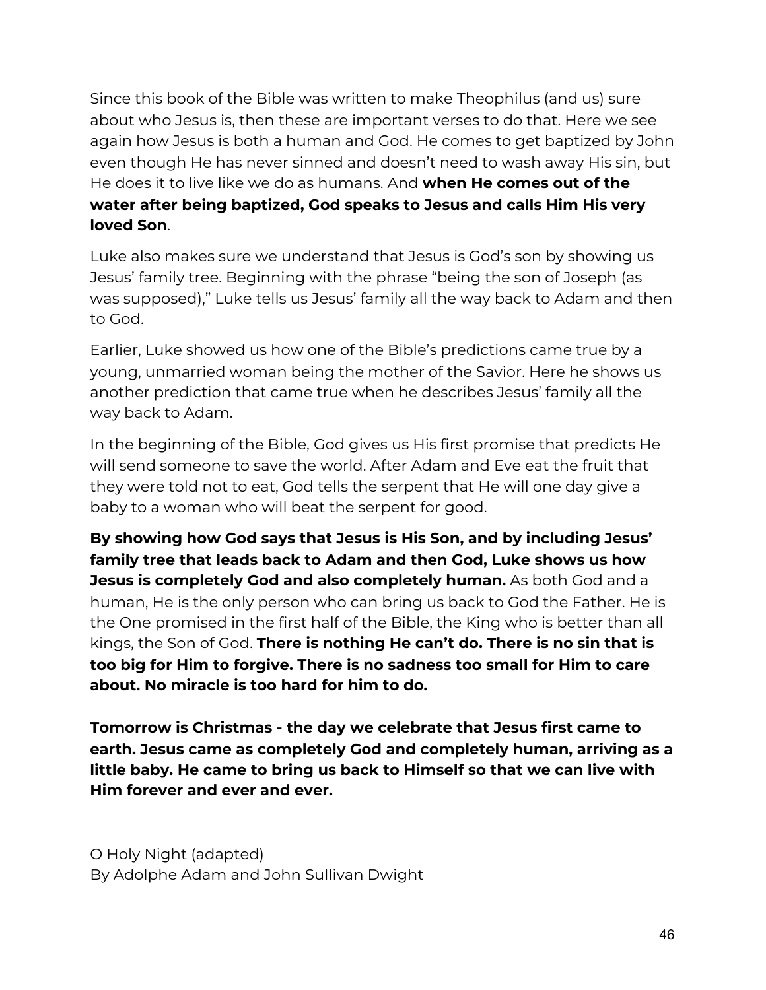Since this book of the Bible was written to make Theophilus (and us) sure about who Jesus is, then these are important verses to do that. Here we see again how Jesus is both a human and God. He comes to get baptized by John even though He has never sinned and doesn't need to wash away His sin, but He does it to live like we do as humans. And **when He comes out of the water after being baptized, God speaks to Jesus and calls Him His very loved Son**.

Luke also makes sure we understand that Jesus is God's son by showing us Jesus' family tree. Beginning with the phrase "being the son of Joseph (as was supposed)," Luke tells us Jesus' family all the way back to Adam and then to God.

Earlier, Luke showed us how one of the Bible's predictions came true by a young, unmarried woman being the mother of the Savior. Here he shows us another prediction that came true when he describes Jesus' family all the way back to Adam.

In the beginning of the Bible, God gives us His first promise that predicts He will send someone to save the world. After Adam and Eve eat the fruit that they were told not to eat, God tells the serpent that He will one day give a baby to a woman who will beat the serpent for good.

**By showing how God says that Jesus is His Son, and by including Jesus' family tree that leads back to Adam and then God, Luke shows us how Jesus is completely God and also completely human.** As both God and a human, He is the only person who can bring us back to God the Father. He is the One promised in the first half of the Bible, the King who is better than all kings, the Son of God. **There is nothing He can't do. There is no sin that is too big for Him to forgive. There is no sadness too small for Him to care about. No miracle is too hard for him to do.**

**Tomorrow is Christmas - the day we celebrate that Jesus first came to earth. Jesus came as completely God and completely human, arriving as a little baby. He came to bring us back to Himself so that we can live with Him forever and ever and ever.**

O Holy Night (adapted) By Adolphe Adam and John Sullivan Dwight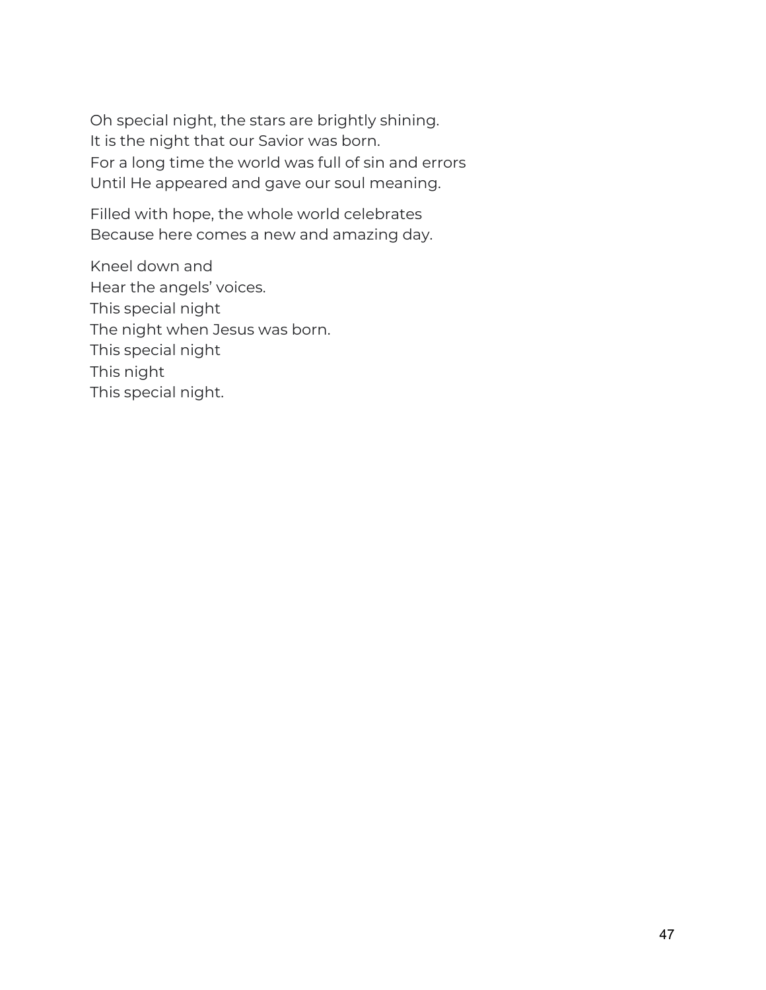Oh special night, the stars are brightly shining. It is the night that our Savior was born. For a long time the world was full of sin and errors Until He appeared and gave our soul meaning.

Filled with hope, the whole world celebrates Because here comes a new and amazing day.

Kneel down and Hear the angels' voices. This special night The night when Jesus was born. This special night This night This special night.